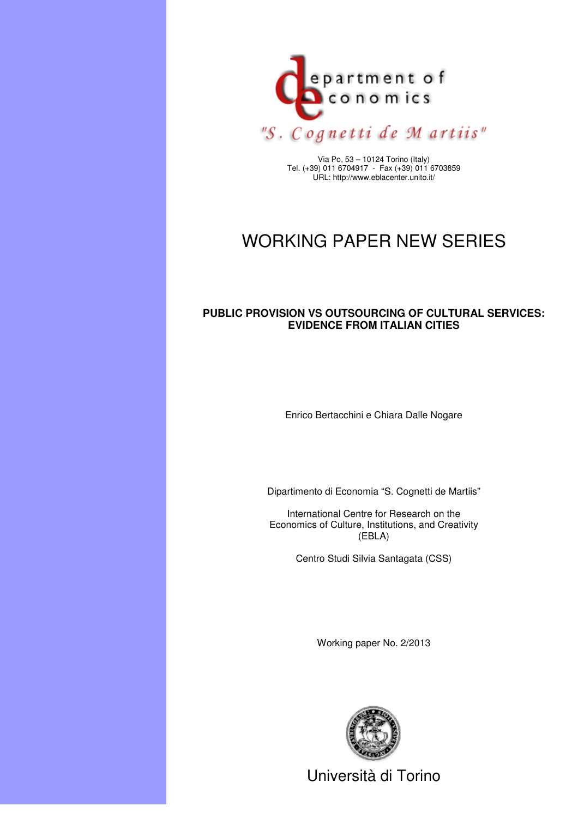

Via Po, 53 – 10124 Torino (Italy) Tel. (+39) 011 6704917 - Fax (+39) 011 6703859 URL: http://www.eblacenter.unito.it/

# WORKING PAPER NEW SERIES

#### **PUBLIC PROVISION VS OUTSOURCING OF CULTURAL SERVICES: EVIDENCE FROM ITALIAN CITIES**

Enrico Bertacchini e Chiara Dalle Nogare

Dipartimento di Economia "S. Cognetti de Martiis"

International Centre for Research on the Economics of Culture, Institutions, and Creativity (EBLA)

Centro Studi Silvia Santagata (CSS)

Working paper No. 2/2013



Università di Torino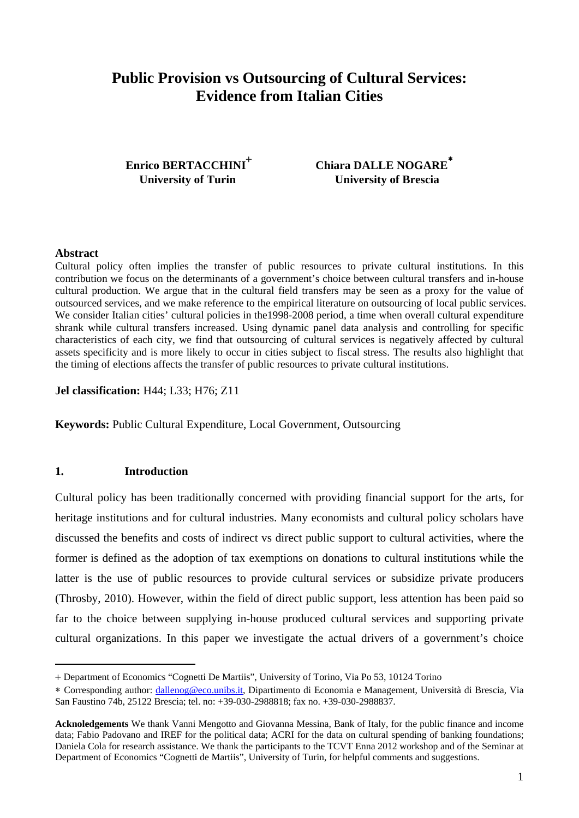# **Public Provision vs Outsourcing of Cultural Services: Evidence from Italian Cities**

Enrico BERTACCHINI<sup>+</sup>

 **Chiara DALLE NOGARE** ∗ **University of Turin University of Brescia** 

#### **Abstract**

 $\overline{a}$ 

Cultural policy often implies the transfer of public resources to private cultural institutions. In this contribution we focus on the determinants of a government's choice between cultural transfers and in-house cultural production. We argue that in the cultural field transfers may be seen as a proxy for the value of outsourced services, and we make reference to the empirical literature on outsourcing of local public services. We consider Italian cities' cultural policies in the 1998-2008 period, a time when overall cultural expenditure shrank while cultural transfers increased. Using dynamic panel data analysis and controlling for specific characteristics of each city, we find that outsourcing of cultural services is negatively affected by cultural assets specificity and is more likely to occur in cities subject to fiscal stress. The results also highlight that the timing of elections affects the transfer of public resources to private cultural institutions.

**Jel classification:** H44; L33; H76; Z11

**Keywords:** Public Cultural Expenditure, Local Government, Outsourcing

#### **1. Introduction**

Cultural policy has been traditionally concerned with providing financial support for the arts, for heritage institutions and for cultural industries. Many economists and cultural policy scholars have discussed the benefits and costs of indirect vs direct public support to cultural activities, where the former is defined as the adoption of tax exemptions on donations to cultural institutions while the latter is the use of public resources to provide cultural services or subsidize private producers (Throsby, 2010). However, within the field of direct public support, less attention has been paid so far to the choice between supplying in-house produced cultural services and supporting private cultural organizations. In this paper we investigate the actual drivers of a government's choice

<sup>+</sup> Department of Economics "Cognetti De Martiis", University of Torino, Via Po 53, 10124 Torino

<sup>∗</sup> Corresponding author: dallenog@eco.unibs.it, Dipartimento di Economia e Management, Università di Brescia, Via San Faustino 74b, 25122 Brescia; tel. no: +39-030-2988818; fax no. +39-030-2988837.

**Acknoledgements** We thank Vanni Mengotto and Giovanna Messina, Bank of Italy, for the public finance and income data; Fabio Padovano and IREF for the political data; ACRI for the data on cultural spending of banking foundations; Daniela Cola for research assistance. We thank the participants to the TCVT Enna 2012 workshop and of the Seminar at Department of Economics "Cognetti de Martiis", University of Turin, for helpful comments and suggestions.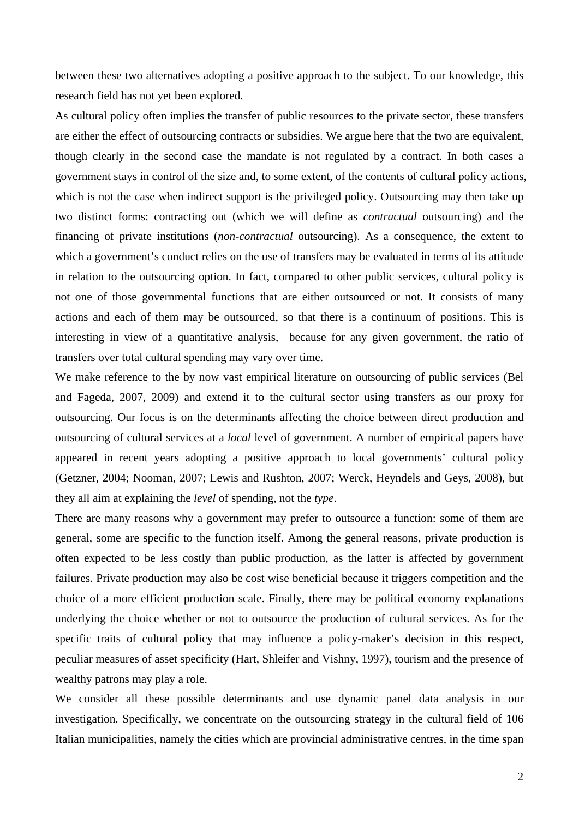between these two alternatives adopting a positive approach to the subject. To our knowledge, this research field has not yet been explored.

As cultural policy often implies the transfer of public resources to the private sector, these transfers are either the effect of outsourcing contracts or subsidies. We argue here that the two are equivalent, though clearly in the second case the mandate is not regulated by a contract. In both cases a government stays in control of the size and, to some extent, of the contents of cultural policy actions, which is not the case when indirect support is the privileged policy. Outsourcing may then take up two distinct forms: contracting out (which we will define as *contractual* outsourcing) and the financing of private institutions (*non-contractual* outsourcing). As a consequence, the extent to which a government's conduct relies on the use of transfers may be evaluated in terms of its attitude in relation to the outsourcing option. In fact, compared to other public services, cultural policy is not one of those governmental functions that are either outsourced or not. It consists of many actions and each of them may be outsourced, so that there is a continuum of positions. This is interesting in view of a quantitative analysis, because for any given government, the ratio of transfers over total cultural spending may vary over time.

We make reference to the by now vast empirical literature on outsourcing of public services (Bel and Fageda, 2007, 2009) and extend it to the cultural sector using transfers as our proxy for outsourcing. Our focus is on the determinants affecting the choice between direct production and outsourcing of cultural services at a *local* level of government. A number of empirical papers have appeared in recent years adopting a positive approach to local governments' cultural policy (Getzner, 2004; Nooman, 2007; Lewis and Rushton, 2007; Werck, Heyndels and Geys, 2008), but they all aim at explaining the *level* of spending, not the *type*.

There are many reasons why a government may prefer to outsource a function: some of them are general, some are specific to the function itself. Among the general reasons, private production is often expected to be less costly than public production, as the latter is affected by government failures. Private production may also be cost wise beneficial because it triggers competition and the choice of a more efficient production scale. Finally, there may be political economy explanations underlying the choice whether or not to outsource the production of cultural services. As for the specific traits of cultural policy that may influence a policy-maker's decision in this respect, peculiar measures of asset specificity (Hart, Shleifer and Vishny, 1997), tourism and the presence of wealthy patrons may play a role.

We consider all these possible determinants and use dynamic panel data analysis in our investigation. Specifically, we concentrate on the outsourcing strategy in the cultural field of 106 Italian municipalities, namely the cities which are provincial administrative centres, in the time span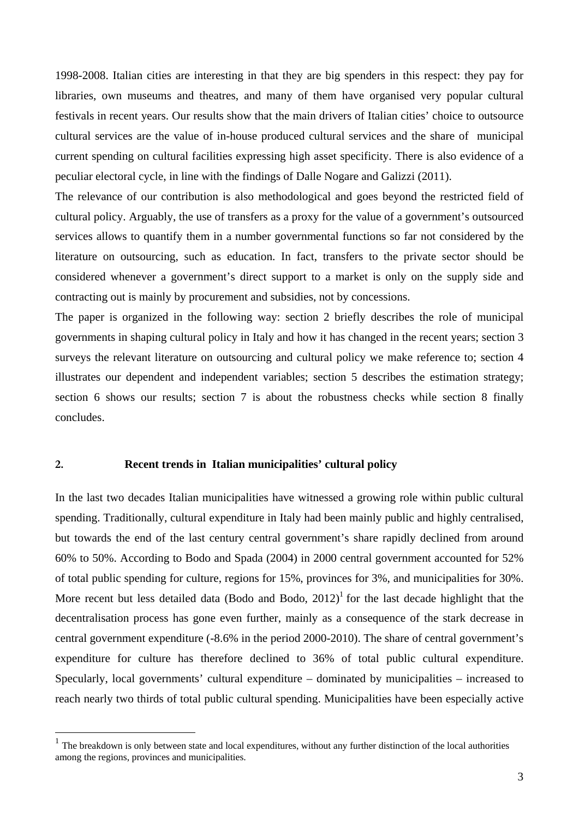1998-2008. Italian cities are interesting in that they are big spenders in this respect: they pay for libraries, own museums and theatres, and many of them have organised very popular cultural festivals in recent years. Our results show that the main drivers of Italian cities' choice to outsource cultural services are the value of in-house produced cultural services and the share of municipal current spending on cultural facilities expressing high asset specificity. There is also evidence of a peculiar electoral cycle, in line with the findings of Dalle Nogare and Galizzi (2011).

The relevance of our contribution is also methodological and goes beyond the restricted field of cultural policy. Arguably, the use of transfers as a proxy for the value of a government's outsourced services allows to quantify them in a number governmental functions so far not considered by the literature on outsourcing, such as education. In fact, transfers to the private sector should be considered whenever a government's direct support to a market is only on the supply side and contracting out is mainly by procurement and subsidies, not by concessions.

The paper is organized in the following way: section 2 briefly describes the role of municipal governments in shaping cultural policy in Italy and how it has changed in the recent years; section 3 surveys the relevant literature on outsourcing and cultural policy we make reference to; section 4 illustrates our dependent and independent variables; section 5 describes the estimation strategy; section 6 shows our results; section 7 is about the robustness checks while section 8 finally concludes.

#### **2. Recent trends in Italian municipalities' cultural policy**

 $\overline{a}$ 

In the last two decades Italian municipalities have witnessed a growing role within public cultural spending. Traditionally, cultural expenditure in Italy had been mainly public and highly centralised, but towards the end of the last century central government's share rapidly declined from around 60% to 50%. According to Bodo and Spada (2004) in 2000 central government accounted for 52% of total public spending for culture, regions for 15%, provinces for 3%, and municipalities for 30%. More recent but less detailed data (Bodo and Bodo,  $2012$ )<sup>1</sup> for the last decade highlight that the decentralisation process has gone even further, mainly as a consequence of the stark decrease in central government expenditure (-8.6% in the period 2000-2010). The share of central government's expenditure for culture has therefore declined to 36% of total public cultural expenditure. Specularly, local governments' cultural expenditure – dominated by municipalities – increased to reach nearly two thirds of total public cultural spending. Municipalities have been especially active

 $1$  The breakdown is only between state and local expenditures, without any further distinction of the local authorities among the regions, provinces and municipalities.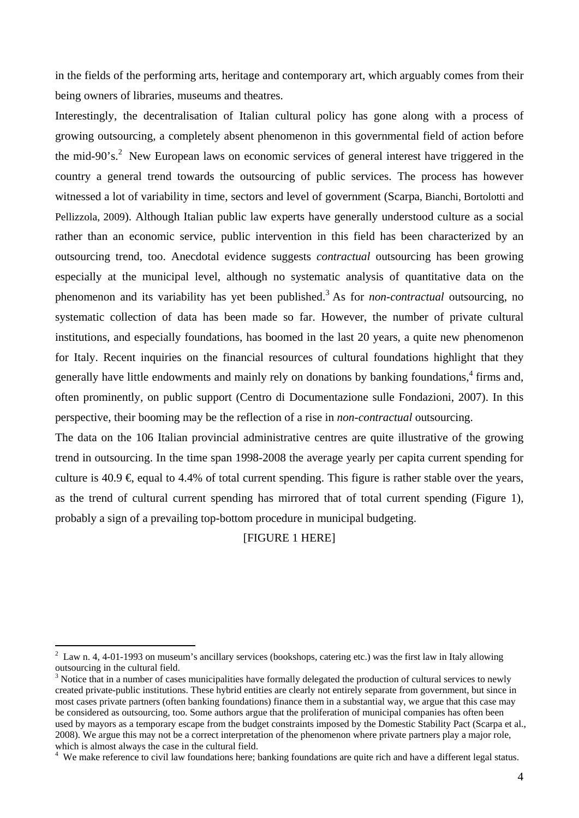in the fields of the performing arts, heritage and contemporary art, which arguably comes from their being owners of libraries, museums and theatres.

Interestingly, the decentralisation of Italian cultural policy has gone along with a process of growing outsourcing, a completely absent phenomenon in this governmental field of action before the mid-90's.<sup>2</sup> New European laws on economic services of general interest have triggered in the country a general trend towards the outsourcing of public services. The process has however witnessed a lot of variability in time, sectors and level of government (Scarpa, Bianchi, Bortolotti and Pellizzola, 2009). Although Italian public law experts have generally understood culture as a social rather than an economic service, public intervention in this field has been characterized by an outsourcing trend, too. Anecdotal evidence suggests *contractual* outsourcing has been growing especially at the municipal level, although no systematic analysis of quantitative data on the phenomenon and its variability has yet been published.<sup>3</sup> As for *non-contractual* outsourcing, no systematic collection of data has been made so far. However, the number of private cultural institutions, and especially foundations, has boomed in the last 20 years, a quite new phenomenon for Italy. Recent inquiries on the financial resources of cultural foundations highlight that they generally have little endowments and mainly rely on donations by banking foundations,<sup>4</sup> firms and, often prominently, on public support (Centro di Documentazione sulle Fondazioni, 2007). In this perspective, their booming may be the reflection of a rise in *non-contractual* outsourcing.

The data on the 106 Italian provincial administrative centres are quite illustrative of the growing trend in outsourcing. In the time span 1998-2008 the average yearly per capita current spending for culture is 40.9  $\in$  equal to 4.4% of total current spending. This figure is rather stable over the years, as the trend of cultural current spending has mirrored that of total current spending (Figure 1), probably a sign of a prevailing top-bottom procedure in municipal budgeting.

#### [FIGURE 1 HERE]

 $2$  Law n. 4, 4-01-1993 on museum's ancillary services (bookshops, catering etc.) was the first law in Italy allowing outsourcing in the cultural field.

 $3$  Notice that in a number of cases municipalities have formally delegated the production of cultural services to newly created private-public institutions. These hybrid entities are clearly not entirely separate from government, but since in most cases private partners (often banking foundations) finance them in a substantial way, we argue that this case may be considered as outsourcing, too. Some authors argue that the proliferation of municipal companies has often been used by mayors as a temporary escape from the budget constraints imposed by the Domestic Stability Pact (Scarpa et al., 2008). We argue this may not be a correct interpretation of the phenomenon where private partners play a major role, which is almost always the case in the cultural field.

<sup>&</sup>lt;sup>4</sup> We make reference to civil law foundations here; banking foundations are quite rich and have a different legal status.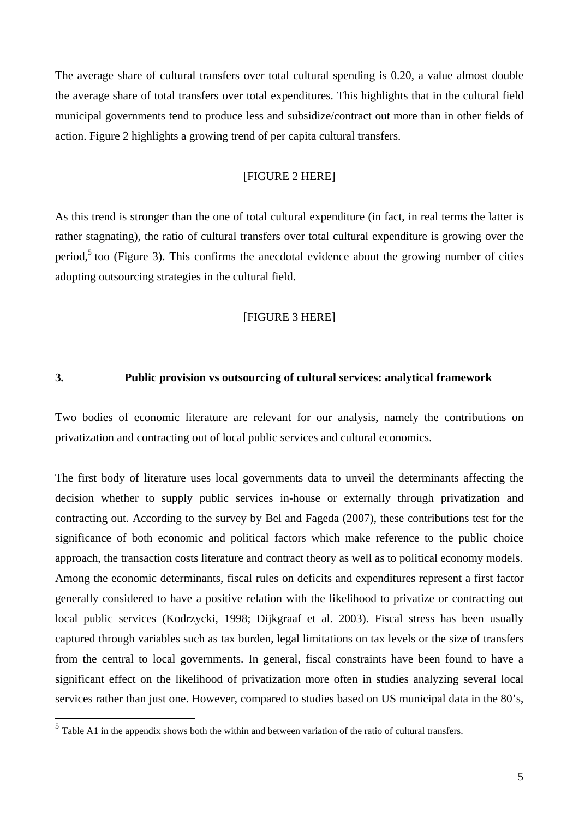The average share of cultural transfers over total cultural spending is 0.20, a value almost double the average share of total transfers over total expenditures. This highlights that in the cultural field municipal governments tend to produce less and subsidize/contract out more than in other fields of action. Figure 2 highlights a growing trend of per capita cultural transfers.

#### [FIGURE 2 HERE]

As this trend is stronger than the one of total cultural expenditure (in fact, in real terms the latter is rather stagnating), the ratio of cultural transfers over total cultural expenditure is growing over the period,<sup>5</sup> too (Figure 3). This confirms the anecdotal evidence about the growing number of cities adopting outsourcing strategies in the cultural field.

#### [FIGURE 3 HERE]

#### **3. Public provision vs outsourcing of cultural services: analytical framework**

Two bodies of economic literature are relevant for our analysis, namely the contributions on privatization and contracting out of local public services and cultural economics.

The first body of literature uses local governments data to unveil the determinants affecting the decision whether to supply public services in-house or externally through privatization and contracting out. According to the survey by Bel and Fageda (2007), these contributions test for the significance of both economic and political factors which make reference to the public choice approach, the transaction costs literature and contract theory as well as to political economy models. Among the economic determinants, fiscal rules on deficits and expenditures represent a first factor generally considered to have a positive relation with the likelihood to privatize or contracting out local public services (Kodrzycki, 1998; Dijkgraaf et al. 2003). Fiscal stress has been usually captured through variables such as tax burden, legal limitations on tax levels or the size of transfers from the central to local governments. In general, fiscal constraints have been found to have a significant effect on the likelihood of privatization more often in studies analyzing several local services rather than just one. However, compared to studies based on US municipal data in the 80's,

 $<sup>5</sup>$  Table A1 in the appendix shows both the within and between variation of the ratio of cultural transfers.</sup>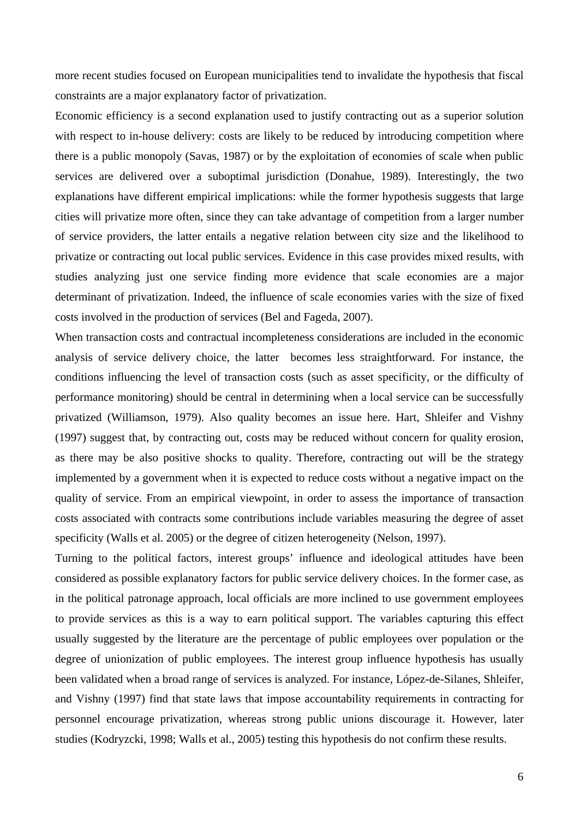more recent studies focused on European municipalities tend to invalidate the hypothesis that fiscal constraints are a major explanatory factor of privatization.

Economic efficiency is a second explanation used to justify contracting out as a superior solution with respect to in-house delivery: costs are likely to be reduced by introducing competition where there is a public monopoly (Savas, 1987) or by the exploitation of economies of scale when public services are delivered over a suboptimal jurisdiction (Donahue, 1989). Interestingly, the two explanations have different empirical implications: while the former hypothesis suggests that large cities will privatize more often, since they can take advantage of competition from a larger number of service providers, the latter entails a negative relation between city size and the likelihood to privatize or contracting out local public services. Evidence in this case provides mixed results, with studies analyzing just one service finding more evidence that scale economies are a major determinant of privatization. Indeed, the influence of scale economies varies with the size of fixed costs involved in the production of services (Bel and Fageda, 2007).

When transaction costs and contractual incompleteness considerations are included in the economic analysis of service delivery choice, the latter becomes less straightforward. For instance, the conditions influencing the level of transaction costs (such as asset specificity, or the difficulty of performance monitoring) should be central in determining when a local service can be successfully privatized (Williamson, 1979). Also quality becomes an issue here. Hart, Shleifer and Vishny (1997) suggest that, by contracting out, costs may be reduced without concern for quality erosion, as there may be also positive shocks to quality. Therefore, contracting out will be the strategy implemented by a government when it is expected to reduce costs without a negative impact on the quality of service. From an empirical viewpoint, in order to assess the importance of transaction costs associated with contracts some contributions include variables measuring the degree of asset specificity (Walls et al. 2005) or the degree of citizen heterogeneity (Nelson, 1997).

Turning to the political factors, interest groups' influence and ideological attitudes have been considered as possible explanatory factors for public service delivery choices. In the former case, as in the political patronage approach, local officials are more inclined to use government employees to provide services as this is a way to earn political support. The variables capturing this effect usually suggested by the literature are the percentage of public employees over population or the degree of unionization of public employees. The interest group influence hypothesis has usually been validated when a broad range of services is analyzed. For instance, López-de-Silanes, Shleifer, and Vishny (1997) find that state laws that impose accountability requirements in contracting for personnel encourage privatization, whereas strong public unions discourage it. However, later studies (Kodryzcki, 1998; Walls et al., 2005) testing this hypothesis do not confirm these results.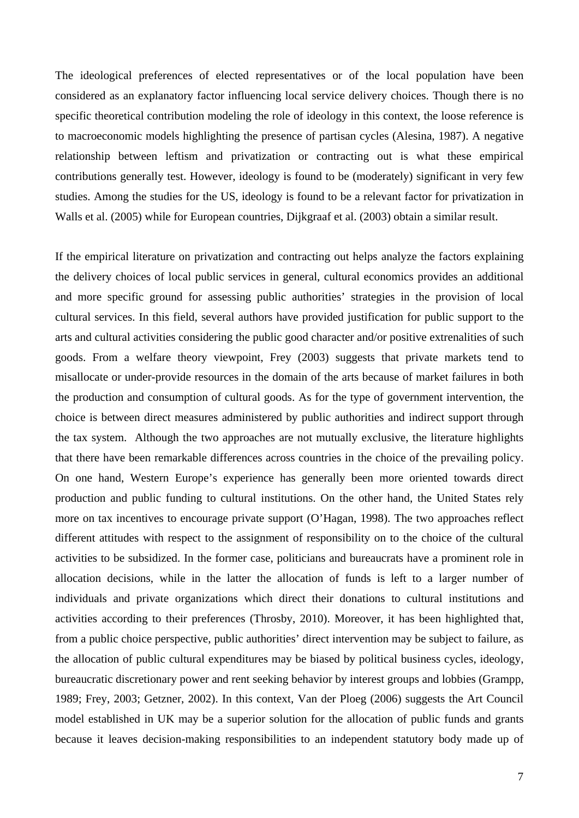The ideological preferences of elected representatives or of the local population have been considered as an explanatory factor influencing local service delivery choices. Though there is no specific theoretical contribution modeling the role of ideology in this context, the loose reference is to macroeconomic models highlighting the presence of partisan cycles (Alesina, 1987). A negative relationship between leftism and privatization or contracting out is what these empirical contributions generally test. However, ideology is found to be (moderately) significant in very few studies. Among the studies for the US, ideology is found to be a relevant factor for privatization in Walls et al. (2005) while for European countries, Dijkgraaf et al. (2003) obtain a similar result.

If the empirical literature on privatization and contracting out helps analyze the factors explaining the delivery choices of local public services in general, cultural economics provides an additional and more specific ground for assessing public authorities' strategies in the provision of local cultural services. In this field, several authors have provided justification for public support to the arts and cultural activities considering the public good character and/or positive extrenalities of such goods. From a welfare theory viewpoint, Frey (2003) suggests that private markets tend to misallocate or under-provide resources in the domain of the arts because of market failures in both the production and consumption of cultural goods. As for the type of government intervention, the choice is between direct measures administered by public authorities and indirect support through the tax system. Although the two approaches are not mutually exclusive, the literature highlights that there have been remarkable differences across countries in the choice of the prevailing policy. On one hand, Western Europe's experience has generally been more oriented towards direct production and public funding to cultural institutions. On the other hand, the United States rely more on tax incentives to encourage private support (O'Hagan, 1998). The two approaches reflect different attitudes with respect to the assignment of responsibility on to the choice of the cultural activities to be subsidized. In the former case, politicians and bureaucrats have a prominent role in allocation decisions, while in the latter the allocation of funds is left to a larger number of individuals and private organizations which direct their donations to cultural institutions and activities according to their preferences (Throsby, 2010). Moreover, it has been highlighted that, from a public choice perspective, public authorities' direct intervention may be subject to failure, as the allocation of public cultural expenditures may be biased by political business cycles, ideology, bureaucratic discretionary power and rent seeking behavior by interest groups and lobbies (Grampp, 1989; Frey, 2003; Getzner, 2002). In this context, Van der Ploeg (2006) suggests the Art Council model established in UK may be a superior solution for the allocation of public funds and grants because it leaves decision-making responsibilities to an independent statutory body made up of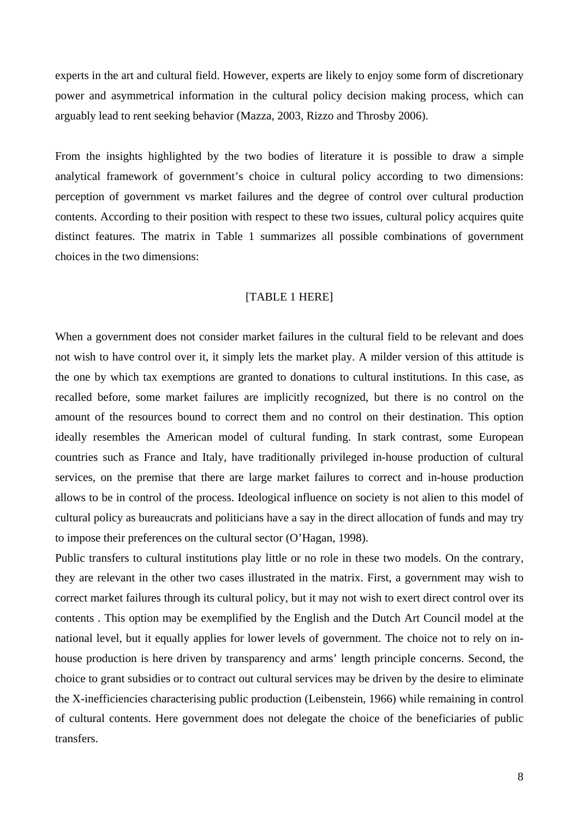experts in the art and cultural field. However, experts are likely to enjoy some form of discretionary power and asymmetrical information in the cultural policy decision making process, which can arguably lead to rent seeking behavior (Mazza, 2003, Rizzo and Throsby 2006).

From the insights highlighted by the two bodies of literature it is possible to draw a simple analytical framework of government's choice in cultural policy according to two dimensions: perception of government vs market failures and the degree of control over cultural production contents. According to their position with respect to these two issues, cultural policy acquires quite distinct features. The matrix in Table 1 summarizes all possible combinations of government choices in the two dimensions:

#### [TABLE 1 HERE]

When a government does not consider market failures in the cultural field to be relevant and does not wish to have control over it, it simply lets the market play. A milder version of this attitude is the one by which tax exemptions are granted to donations to cultural institutions. In this case, as recalled before, some market failures are implicitly recognized, but there is no control on the amount of the resources bound to correct them and no control on their destination. This option ideally resembles the American model of cultural funding. In stark contrast, some European countries such as France and Italy, have traditionally privileged in-house production of cultural services, on the premise that there are large market failures to correct and in-house production allows to be in control of the process. Ideological influence on society is not alien to this model of cultural policy as bureaucrats and politicians have a say in the direct allocation of funds and may try to impose their preferences on the cultural sector (O'Hagan, 1998).

Public transfers to cultural institutions play little or no role in these two models. On the contrary, they are relevant in the other two cases illustrated in the matrix. First, a government may wish to correct market failures through its cultural policy, but it may not wish to exert direct control over its contents . This option may be exemplified by the English and the Dutch Art Council model at the national level, but it equally applies for lower levels of government. The choice not to rely on inhouse production is here driven by transparency and arms' length principle concerns. Second, the choice to grant subsidies or to contract out cultural services may be driven by the desire to eliminate the X-inefficiencies characterising public production (Leibenstein, 1966) while remaining in control of cultural contents. Here government does not delegate the choice of the beneficiaries of public transfers.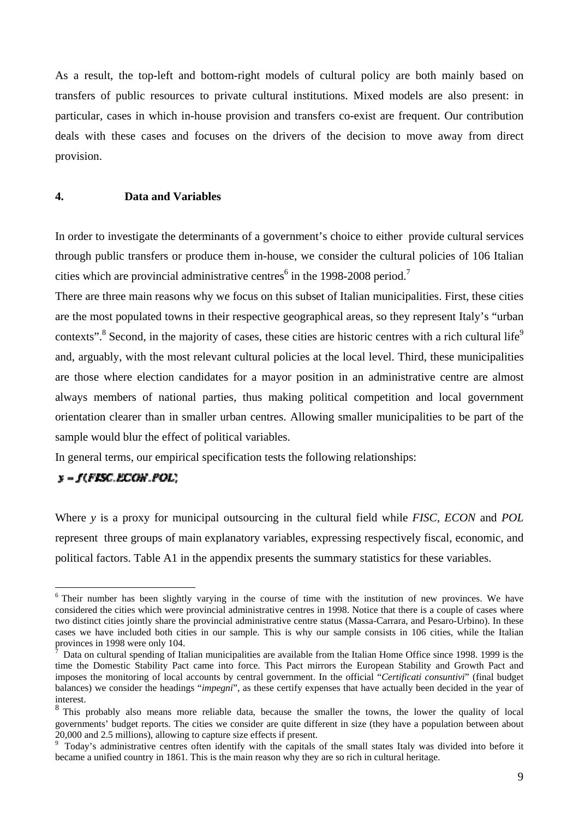As a result, the top-left and bottom-right models of cultural policy are both mainly based on transfers of public resources to private cultural institutions. Mixed models are also present: in particular, cases in which in-house provision and transfers co-exist are frequent. Our contribution deals with these cases and focuses on the drivers of the decision to move away from direct provision.

#### **4. Data and Variables**

In order to investigate the determinants of a government's choice to either provide cultural services through public transfers or produce them in-house, we consider the cultural policies of 106 Italian cities which are provincial administrative centres<sup>6</sup> in the 1998-2008 period.<sup>7</sup>

There are three main reasons why we focus on this subset of Italian municipalities. First, these cities are the most populated towns in their respective geographical areas, so they represent Italy's "urban contexts".<sup>8</sup> Second, in the majority of cases, these cities are historic centres with a rich cultural life<sup>9</sup> and, arguably, with the most relevant cultural policies at the local level. Third, these municipalities are those where election candidates for a mayor position in an administrative centre are almost always members of national parties, thus making political competition and local government orientation clearer than in smaller urban centres. Allowing smaller municipalities to be part of the sample would blur the effect of political variables.

In general terms, our empirical specification tests the following relationships:

#### $y = f(FISC.ECON.POL)$

 $\overline{a}$ 

Where *y* is a proxy for municipal outsourcing in the cultural field while *FISC, ECON* and *POL* represent three groups of main explanatory variables, expressing respectively fiscal, economic, and political factors. Table A1 in the appendix presents the summary statistics for these variables.

<sup>&</sup>lt;sup>6</sup> Their number has been slightly varying in the course of time with the institution of new provinces. We have considered the cities which were provincial administrative centres in 1998. Notice that there is a couple of cases where two distinct cities jointly share the provincial administrative centre status (Massa-Carrara, and Pesaro-Urbino). In these cases we have included both cities in our sample. This is why our sample consists in 106 cities, while the Italian provinces in 1998 were only 104.

<sup>7</sup> Data on cultural spending of Italian municipalities are available from the Italian Home Office since 1998. 1999 is the time the Domestic Stability Pact came into force. This Pact mirrors the European Stability and Growth Pact and imposes the monitoring of local accounts by central government. In the official "*Certificati consuntivi*" (final budget balances) we consider the headings "*impegni*", as these certify expenses that have actually been decided in the year of interest.

<sup>&</sup>lt;sup>8</sup> This probably also means more reliable data, because the smaller the towns, the lower the quality of local governments' budget reports. The cities we consider are quite different in size (they have a population between about 20,000 and 2.5 millions), allowing to capture size effects if present.<br><sup>9</sup> Today's administrative centres often identify with the capitals of the small states Italy was divided into before it

became a unified country in 1861. This is the main reason why they are so rich in cultural heritage.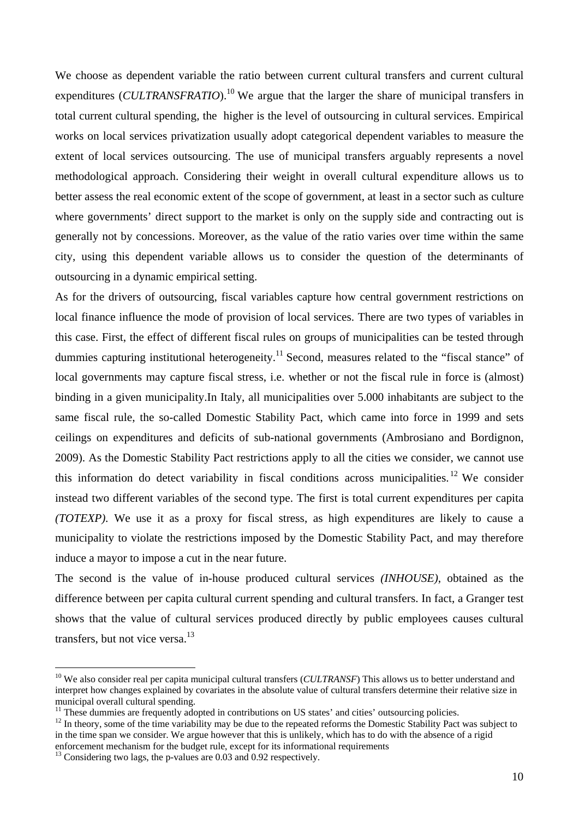We choose as dependent variable the ratio between current cultural transfers and current cultural expenditures (*CULTRANSFRATIO*).<sup>10</sup> We argue that the larger the share of municipal transfers in total current cultural spending, the higher is the level of outsourcing in cultural services. Empirical works on local services privatization usually adopt categorical dependent variables to measure the extent of local services outsourcing. The use of municipal transfers arguably represents a novel methodological approach. Considering their weight in overall cultural expenditure allows us to better assess the real economic extent of the scope of government, at least in a sector such as culture where governments' direct support to the market is only on the supply side and contracting out is generally not by concessions. Moreover, as the value of the ratio varies over time within the same city, using this dependent variable allows us to consider the question of the determinants of outsourcing in a dynamic empirical setting.

As for the drivers of outsourcing, fiscal variables capture how central government restrictions on local finance influence the mode of provision of local services. There are two types of variables in this case. First, the effect of different fiscal rules on groups of municipalities can be tested through dummies capturing institutional heterogeneity.<sup>11</sup> Second, measures related to the "fiscal stance" of local governments may capture fiscal stress, i.e. whether or not the fiscal rule in force is (almost) binding in a given municipality.In Italy, all municipalities over 5.000 inhabitants are subject to the same fiscal rule, the so-called Domestic Stability Pact, which came into force in 1999 and sets ceilings on expenditures and deficits of sub-national governments (Ambrosiano and Bordignon, 2009). As the Domestic Stability Pact restrictions apply to all the cities we consider, we cannot use this information do detect variability in fiscal conditions across municipalities.<sup>12</sup> We consider instead two different variables of the second type. The first is total current expenditures per capita *(TOTEXP).* We use it as a proxy for fiscal stress, as high expenditures are likely to cause a municipality to violate the restrictions imposed by the Domestic Stability Pact, and may therefore induce a mayor to impose a cut in the near future.

The second is the value of in-house produced cultural services *(INHOUSE)*, obtained as the difference between per capita cultural current spending and cultural transfers. In fact, a Granger test shows that the value of cultural services produced directly by public employees causes cultural transfers, but not vice versa.<sup>13</sup>

<sup>&</sup>lt;sup>10</sup> We also consider real per capita municipal cultural transfers (*CULTRANSF*) This allows us to better understand and interpret how changes explained by covariates in the absolute value of cultural transfers determine their relative size in municipal overall cultural spending.<br><sup>11</sup> These dummies are frequently adopted in contributions on US states' and cities' outsourcing policies.

<sup>&</sup>lt;sup>12</sup> In theory, some of the time variability may be due to the repeated reforms the Domestic Stability Pact was subject to in the time span we consider. We argue however that this is unlikely, which has to do with the absence of a rigid enforcement mechanism for the budget rule, except for its informational requirements 13 Considering two lags, the p-values are 0.03 and 0.92 respectively.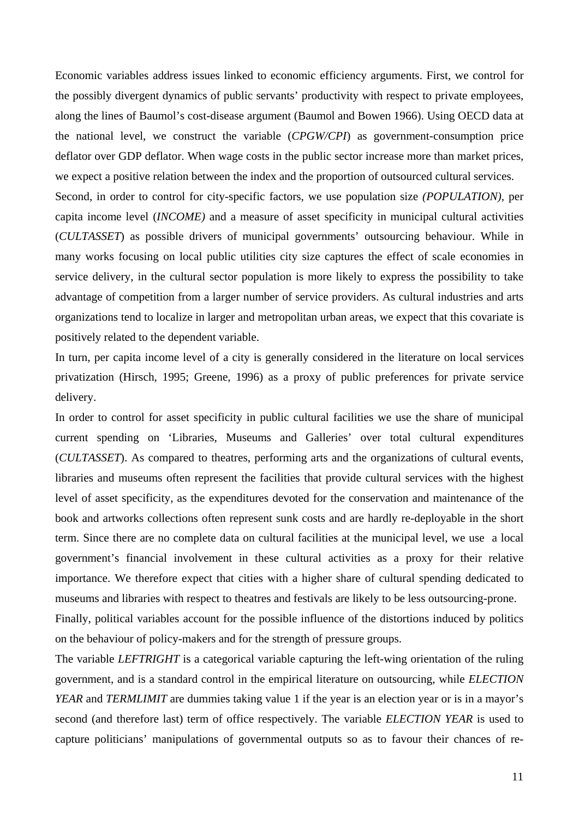Economic variables address issues linked to economic efficiency arguments. First, we control for the possibly divergent dynamics of public servants' productivity with respect to private employees, along the lines of Baumol's cost-disease argument (Baumol and Bowen 1966). Using OECD data at the national level, we construct the variable (*CPGW/CPI*) as government-consumption price deflator over GDP deflator. When wage costs in the public sector increase more than market prices, we expect a positive relation between the index and the proportion of outsourced cultural services. Second, in order to control for city-specific factors, we use population size *(POPULATION),* per

capita income level (*INCOME)* and a measure of asset specificity in municipal cultural activities (*CULTASSET*) as possible drivers of municipal governments' outsourcing behaviour. While in many works focusing on local public utilities city size captures the effect of scale economies in service delivery, in the cultural sector population is more likely to express the possibility to take advantage of competition from a larger number of service providers. As cultural industries and arts organizations tend to localize in larger and metropolitan urban areas, we expect that this covariate is positively related to the dependent variable.

In turn, per capita income level of a city is generally considered in the literature on local services privatization (Hirsch, 1995; Greene, 1996) as a proxy of public preferences for private service delivery.

In order to control for asset specificity in public cultural facilities we use the share of municipal current spending on 'Libraries, Museums and Galleries' over total cultural expenditures (*CULTASSET*). As compared to theatres, performing arts and the organizations of cultural events, libraries and museums often represent the facilities that provide cultural services with the highest level of asset specificity, as the expenditures devoted for the conservation and maintenance of the book and artworks collections often represent sunk costs and are hardly re-deployable in the short term. Since there are no complete data on cultural facilities at the municipal level, we use a local government's financial involvement in these cultural activities as a proxy for their relative importance. We therefore expect that cities with a higher share of cultural spending dedicated to museums and libraries with respect to theatres and festivals are likely to be less outsourcing-prone.

Finally, political variables account for the possible influence of the distortions induced by politics on the behaviour of policy-makers and for the strength of pressure groups.

The variable *LEFTRIGHT* is a categorical variable capturing the left-wing orientation of the ruling government, and is a standard control in the empirical literature on outsourcing, while *ELECTION YEAR* and *TERMLIMIT* are dummies taking value 1 if the year is an election year or is in a mayor's second (and therefore last) term of office respectively. The variable *ELECTION YEAR* is used to capture politicians' manipulations of governmental outputs so as to favour their chances of re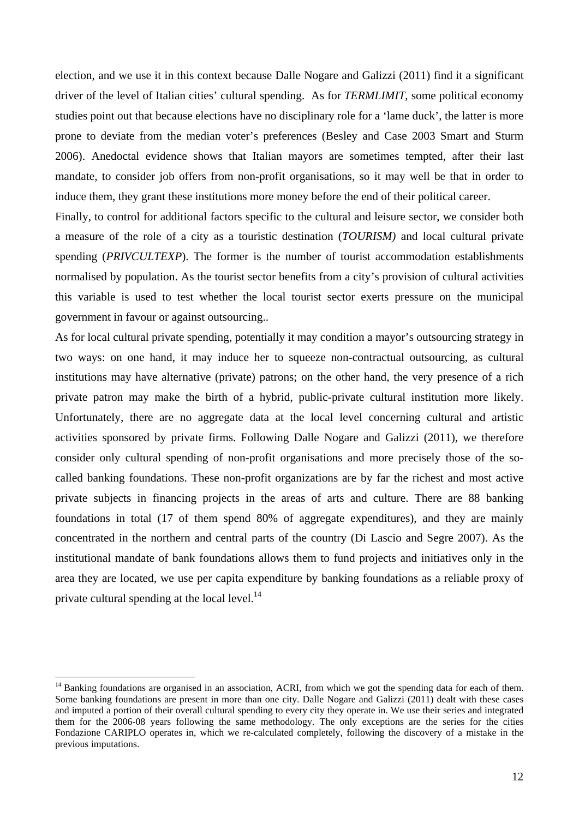election, and we use it in this context because Dalle Nogare and Galizzi (2011) find it a significant driver of the level of Italian cities' cultural spending. As for *TERMLIMIT*, some political economy studies point out that because elections have no disciplinary role for a 'lame duck', the latter is more prone to deviate from the median voter's preferences (Besley and Case 2003 Smart and Sturm 2006). Anedoctal evidence shows that Italian mayors are sometimes tempted, after their last mandate, to consider job offers from non-profit organisations, so it may well be that in order to induce them, they grant these institutions more money before the end of their political career.

Finally, to control for additional factors specific to the cultural and leisure sector, we consider both a measure of the role of a city as a touristic destination (*TOURISM)* and local cultural private spending (*PRIVCULTEXP*). The former is the number of tourist accommodation establishments normalised by population. As the tourist sector benefits from a city's provision of cultural activities this variable is used to test whether the local tourist sector exerts pressure on the municipal government in favour or against outsourcing..

As for local cultural private spending, potentially it may condition a mayor's outsourcing strategy in two ways: on one hand, it may induce her to squeeze non-contractual outsourcing, as cultural institutions may have alternative (private) patrons; on the other hand, the very presence of a rich private patron may make the birth of a hybrid, public-private cultural institution more likely. Unfortunately, there are no aggregate data at the local level concerning cultural and artistic activities sponsored by private firms. Following Dalle Nogare and Galizzi (2011), we therefore consider only cultural spending of non-profit organisations and more precisely those of the socalled banking foundations. These non-profit organizations are by far the richest and most active private subjects in financing projects in the areas of arts and culture. There are 88 banking foundations in total (17 of them spend 80% of aggregate expenditures), and they are mainly concentrated in the northern and central parts of the country (Di Lascio and Segre 2007). As the institutional mandate of bank foundations allows them to fund projects and initiatives only in the area they are located, we use per capita expenditure by banking foundations as a reliable proxy of private cultural spending at the local level.<sup>14</sup>

<sup>&</sup>lt;sup>14</sup> Banking foundations are organised in an association, ACRI, from which we got the spending data for each of them. Some banking foundations are present in more than one city. Dalle Nogare and Galizzi (2011) dealt with these cases and imputed a portion of their overall cultural spending to every city they operate in. We use their series and integrated them for the 2006-08 years following the same methodology. The only exceptions are the series for the cities Fondazione CARIPLO operates in, which we re-calculated completely, following the discovery of a mistake in the previous imputations.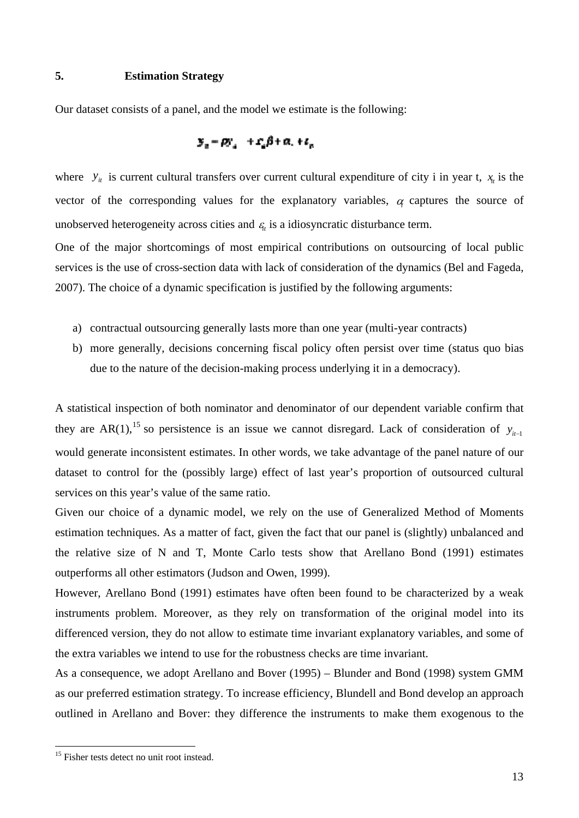#### **5. Estimation Strategy**

Our dataset consists of a panel, and the model we estimate is the following:

$$
S_n = \rho S_n + \mathcal{L}_n \beta + \alpha_1 + \epsilon_n
$$

where  $y_{it}$  is current cultural transfers over current cultural expenditure of city i in year t,  $x_{it}$  is the vector of the corresponding values for the explanatory variables,  $\alpha$  captures the source of unobserved heterogeneity across cities and  $\varepsilon$ <sub>*i*</sub> is a idiosyncratic disturbance term.

One of the major shortcomings of most empirical contributions on outsourcing of local public services is the use of cross-section data with lack of consideration of the dynamics (Bel and Fageda, 2007). The choice of a dynamic specification is justified by the following arguments:

- a) contractual outsourcing generally lasts more than one year (multi-year contracts)
- b) more generally, decisions concerning fiscal policy often persist over time (status quo bias due to the nature of the decision-making process underlying it in a democracy).

A statistical inspection of both nominator and denominator of our dependent variable confirm that they are AR(1),<sup>15</sup> so persistence is an issue we cannot disregard. Lack of consideration of  $y_{i-1}$ would generate inconsistent estimates. In other words, we take advantage of the panel nature of our dataset to control for the (possibly large) effect of last year's proportion of outsourced cultural services on this year's value of the same ratio.

Given our choice of a dynamic model, we rely on the use of Generalized Method of Moments estimation techniques. As a matter of fact, given the fact that our panel is (slightly) unbalanced and the relative size of N and T, Monte Carlo tests show that Arellano Bond (1991) estimates outperforms all other estimators (Judson and Owen, 1999).

However, Arellano Bond (1991) estimates have often been found to be characterized by a weak instruments problem. Moreover, as they rely on transformation of the original model into its differenced version, they do not allow to estimate time invariant explanatory variables, and some of the extra variables we intend to use for the robustness checks are time invariant.

As a consequence, we adopt Arellano and Bover (1995) – Blunder and Bond (1998) system GMM as our preferred estimation strategy. To increase efficiency, Blundell and Bond develop an approach outlined in Arellano and Bover: they difference the instruments to make them exogenous to the

<sup>&</sup>lt;sup>15</sup> Fisher tests detect no unit root instead.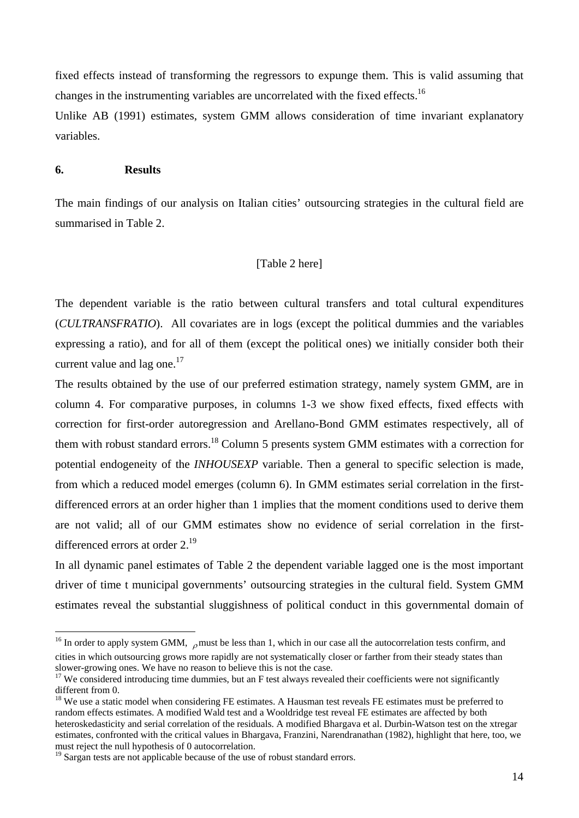fixed effects instead of transforming the regressors to expunge them. This is valid assuming that changes in the instrumenting variables are uncorrelated with the fixed effects.<sup>16</sup>

Unlike AB (1991) estimates, system GMM allows consideration of time invariant explanatory variables.

#### **6. Results**

 $\overline{a}$ 

The main findings of our analysis on Italian cities' outsourcing strategies in the cultural field are summarised in Table 2.

#### [Table 2 here]

The dependent variable is the ratio between cultural transfers and total cultural expenditures (*CULTRANSFRATIO*). All covariates are in logs (except the political dummies and the variables expressing a ratio), and for all of them (except the political ones) we initially consider both their current value and lag one. $17$ 

The results obtained by the use of our preferred estimation strategy, namely system GMM, are in column 4. For comparative purposes, in columns 1-3 we show fixed effects, fixed effects with correction for first-order autoregression and Arellano-Bond GMM estimates respectively, all of them with robust standard errors.<sup>18</sup> Column 5 presents system GMM estimates with a correction for potential endogeneity of the *INHOUSEXP* variable. Then a general to specific selection is made, from which a reduced model emerges (column 6). In GMM estimates serial correlation in the firstdifferenced errors at an order higher than 1 implies that the moment conditions used to derive them are not valid; all of our GMM estimates show no evidence of serial correlation in the firstdifferenced errors at order 2.<sup>19</sup>

In all dynamic panel estimates of Table 2 the dependent variable lagged one is the most important driver of time t municipal governments' outsourcing strategies in the cultural field. System GMM estimates reveal the substantial sluggishness of political conduct in this governmental domain of

<sup>&</sup>lt;sup>16</sup> In order to apply system GMM,  $\rho$  must be less than 1, which in our case all the autocorrelation tests confirm, and cities in which outsourcing grows more rapidly are not systematically closer or farther from their steady states than slower-growing ones. We have no reason to believe this is not the case.

 $17$  We considered introducing time dummies, but an F test always revealed their coefficients were not significantly different from 0.

<sup>&</sup>lt;sup>18</sup> We use a static model when considering FE estimates. A Hausman test reveals FE estimates must be preferred to random effects estimates. A modified Wald test and a Wooldridge test reveal FE estimates are affected by both heteroskedasticity and serial correlation of the residuals. A modified Bhargava et al. Durbin-Watson test on the xtregar estimates, confronted with the critical values in Bhargava, Franzini, Narendranathan (1982), highlight that here, too, we must reject the null hypothesis of 0 autocorrelation.

<sup>&</sup>lt;sup>19</sup> Sargan tests are not applicable because of the use of robust standard errors.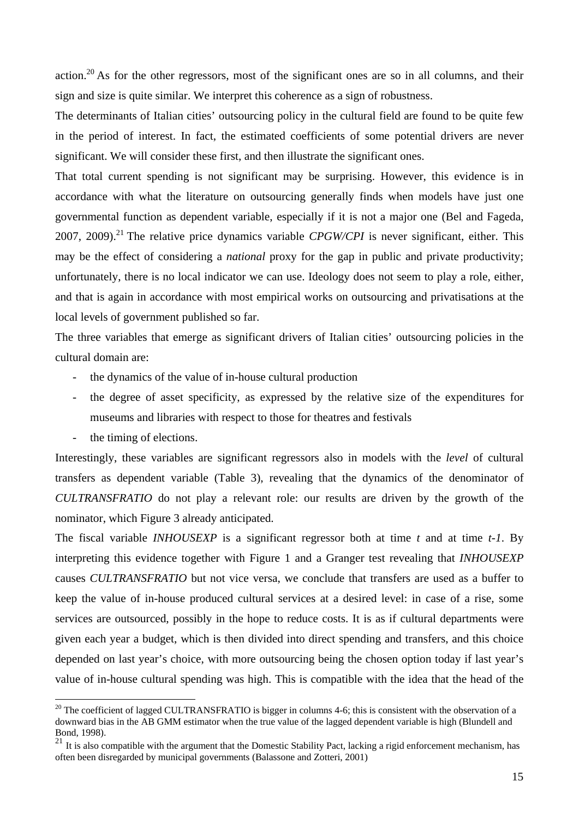action.20 As for the other regressors, most of the significant ones are so in all columns, and their sign and size is quite similar. We interpret this coherence as a sign of robustness.

The determinants of Italian cities' outsourcing policy in the cultural field are found to be quite few in the period of interest. In fact, the estimated coefficients of some potential drivers are never significant. We will consider these first, and then illustrate the significant ones.

That total current spending is not significant may be surprising. However, this evidence is in accordance with what the literature on outsourcing generally finds when models have just one governmental function as dependent variable, especially if it is not a major one (Bel and Fageda, 2007, 2009).<sup>21</sup> The relative price dynamics variable *CPGW/CPI* is never significant, either. This may be the effect of considering a *national* proxy for the gap in public and private productivity; unfortunately, there is no local indicator we can use. Ideology does not seem to play a role, either, and that is again in accordance with most empirical works on outsourcing and privatisations at the local levels of government published so far.

The three variables that emerge as significant drivers of Italian cities' outsourcing policies in the cultural domain are:

- the dynamics of the value of in-house cultural production
- the degree of asset specificity, as expressed by the relative size of the expenditures for museums and libraries with respect to those for theatres and festivals
- the timing of elections.

 $\overline{a}$ 

Interestingly, these variables are significant regressors also in models with the *level* of cultural transfers as dependent variable (Table 3), revealing that the dynamics of the denominator of *CULTRANSFRATIO* do not play a relevant role: our results are driven by the growth of the nominator, which Figure 3 already anticipated.

The fiscal variable *INHOUSEXP* is a significant regressor both at time *t* and at time *t-1*. By interpreting this evidence together with Figure 1 and a Granger test revealing that *INHOUSEXP* causes *CULTRANSFRATIO* but not vice versa, we conclude that transfers are used as a buffer to keep the value of in-house produced cultural services at a desired level: in case of a rise, some services are outsourced, possibly in the hope to reduce costs. It is as if cultural departments were given each year a budget, which is then divided into direct spending and transfers, and this choice depended on last year's choice, with more outsourcing being the chosen option today if last year's value of in-house cultural spending was high. This is compatible with the idea that the head of the

 $20$  The coefficient of lagged CULTRANSFRATIO is bigger in columns 4-6; this is consistent with the observation of a downward bias in the AB GMM estimator when the true value of the lagged dependent variable is high (Blundell and Bond, 1998).

 $21$  It is also compatible with the argument that the Domestic Stability Pact, lacking a rigid enforcement mechanism, has often been disregarded by municipal governments (Balassone and Zotteri, 2001)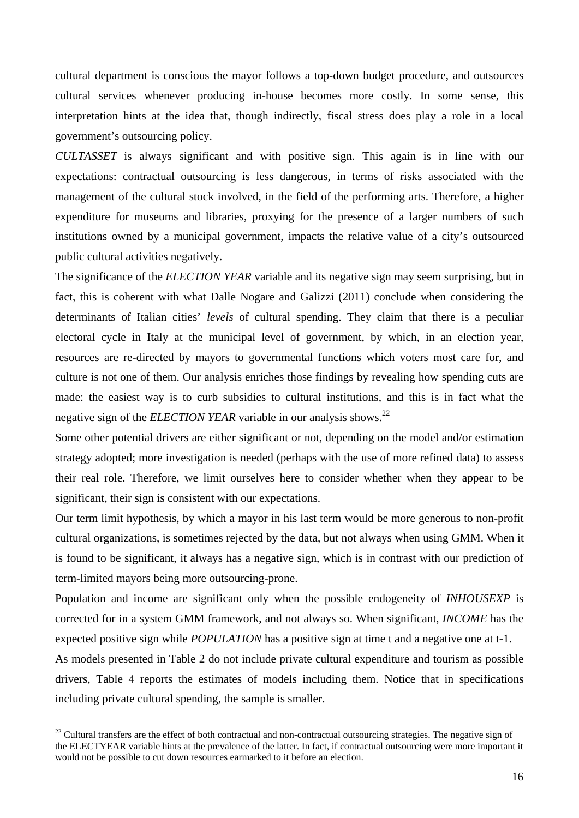cultural department is conscious the mayor follows a top-down budget procedure, and outsources cultural services whenever producing in-house becomes more costly. In some sense, this interpretation hints at the idea that, though indirectly, fiscal stress does play a role in a local government's outsourcing policy.

*CULTASSET* is always significant and with positive sign. This again is in line with our expectations: contractual outsourcing is less dangerous, in terms of risks associated with the management of the cultural stock involved, in the field of the performing arts. Therefore, a higher expenditure for museums and libraries, proxying for the presence of a larger numbers of such institutions owned by a municipal government, impacts the relative value of a city's outsourced public cultural activities negatively.

The significance of the *ELECTION YEAR* variable and its negative sign may seem surprising, but in fact, this is coherent with what Dalle Nogare and Galizzi (2011) conclude when considering the determinants of Italian cities' *levels* of cultural spending. They claim that there is a peculiar electoral cycle in Italy at the municipal level of government, by which, in an election year, resources are re-directed by mayors to governmental functions which voters most care for, and culture is not one of them. Our analysis enriches those findings by revealing how spending cuts are made: the easiest way is to curb subsidies to cultural institutions, and this is in fact what the negative sign of the *ELECTION YEAR* variable in our analysis shows.<sup>22</sup>

Some other potential drivers are either significant or not, depending on the model and/or estimation strategy adopted; more investigation is needed (perhaps with the use of more refined data) to assess their real role. Therefore, we limit ourselves here to consider whether when they appear to be significant, their sign is consistent with our expectations.

Our term limit hypothesis, by which a mayor in his last term would be more generous to non-profit cultural organizations, is sometimes rejected by the data, but not always when using GMM. When it is found to be significant, it always has a negative sign, which is in contrast with our prediction of term-limited mayors being more outsourcing-prone.

Population and income are significant only when the possible endogeneity of *INHOUSEXP* is corrected for in a system GMM framework, and not always so. When significant, *INCOME* has the expected positive sign while *POPULATION* has a positive sign at time t and a negative one at t-1.

As models presented in Table 2 do not include private cultural expenditure and tourism as possible drivers, Table 4 reports the estimates of models including them. Notice that in specifications including private cultural spending, the sample is smaller.

 $22$  Cultural transfers are the effect of both contractual and non-contractual outsourcing strategies. The negative sign of the ELECTYEAR variable hints at the prevalence of the latter. In fact, if contractual outsourcing were more important it would not be possible to cut down resources earmarked to it before an election.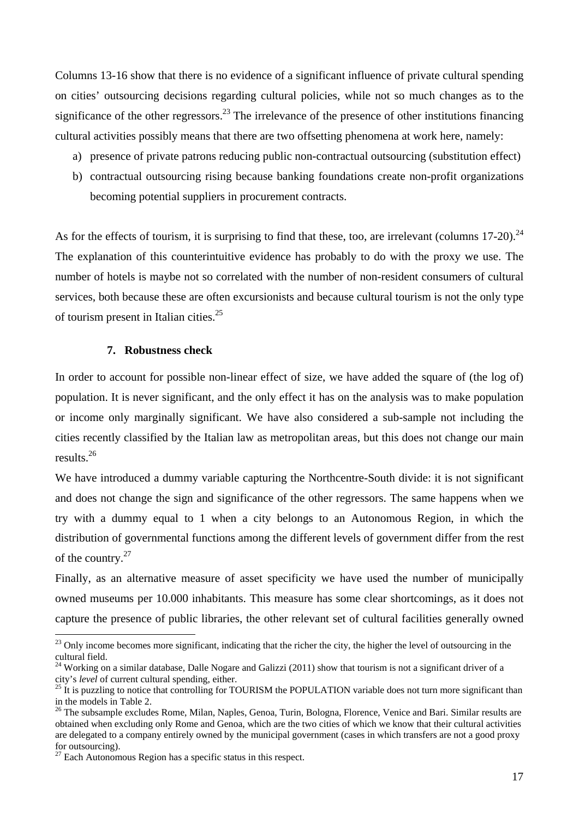Columns 13-16 show that there is no evidence of a significant influence of private cultural spending on cities' outsourcing decisions regarding cultural policies, while not so much changes as to the significance of the other regressors.<sup>23</sup> The irrelevance of the presence of other institutions financing cultural activities possibly means that there are two offsetting phenomena at work here, namely:

- a) presence of private patrons reducing public non-contractual outsourcing (substitution effect)
- b) contractual outsourcing rising because banking foundations create non-profit organizations becoming potential suppliers in procurement contracts.

As for the effects of tourism, it is surprising to find that these, too, are irrelevant (columns  $17{\text -}20$ ).<sup>24</sup> The explanation of this counterintuitive evidence has probably to do with the proxy we use. The number of hotels is maybe not so correlated with the number of non-resident consumers of cultural services, both because these are often excursionists and because cultural tourism is not the only type of tourism present in Italian cities. $25$ 

#### **7. Robustness check**

In order to account for possible non-linear effect of size, we have added the square of (the log of) population. It is never significant, and the only effect it has on the analysis was to make population or income only marginally significant. We have also considered a sub-sample not including the cities recently classified by the Italian law as metropolitan areas, but this does not change our main results.26

We have introduced a dummy variable capturing the Northcentre-South divide: it is not significant and does not change the sign and significance of the other regressors. The same happens when we try with a dummy equal to 1 when a city belongs to an Autonomous Region, in which the distribution of governmental functions among the different levels of government differ from the rest of the country.27

Finally, as an alternative measure of asset specificity we have used the number of municipally owned museums per 10.000 inhabitants. This measure has some clear shortcomings, as it does not capture the presence of public libraries, the other relevant set of cultural facilities generally owned

 $^{23}$  Only income becomes more significant, indicating that the richer the city, the higher the level of outsourcing in the cultural field.

<sup>&</sup>lt;sup>24</sup> Working on a similar database, Dalle Nogare and Galizzi (2011) show that tourism is not a significant driver of a city's *level* of current cultural spending, either.

<sup>&</sup>lt;sup>25</sup> It is puzzling to notice that controlling for TOURISM the POPULATION variable does not turn more significant than in the models in Table 2.

<sup>&</sup>lt;sup>26</sup> The subsample excludes Rome, Milan, Naples, Genoa, Turin, Bologna, Florence, Venice and Bari. Similar results are obtained when excluding only Rome and Genoa, which are the two cities of which we know that their cultural activities are delegated to a company entirely owned by the municipal government (cases in which transfers are not a good proxy for outsourcing).

<sup>&</sup>lt;sup>27</sup> Each Autonomous Region has a specific status in this respect.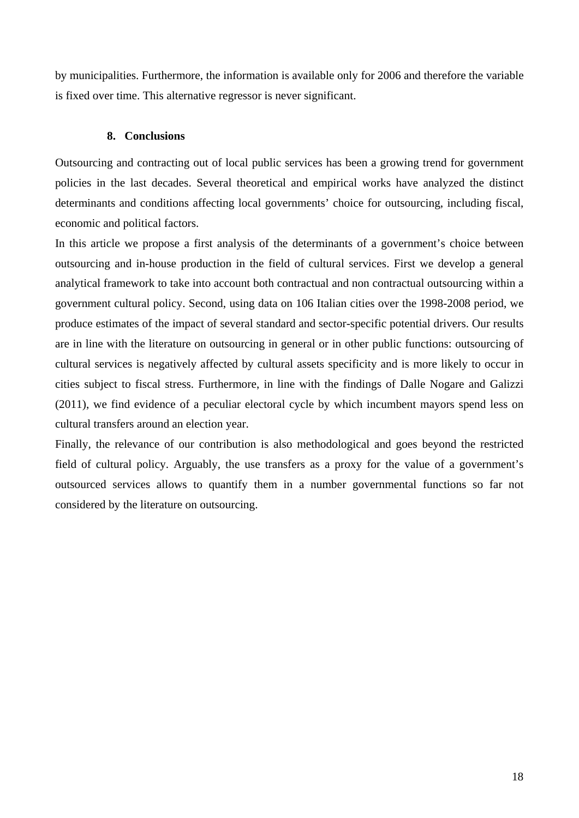by municipalities. Furthermore, the information is available only for 2006 and therefore the variable is fixed over time. This alternative regressor is never significant.

#### **8. Conclusions**

Outsourcing and contracting out of local public services has been a growing trend for government policies in the last decades. Several theoretical and empirical works have analyzed the distinct determinants and conditions affecting local governments' choice for outsourcing, including fiscal, economic and political factors.

In this article we propose a first analysis of the determinants of a government's choice between outsourcing and in-house production in the field of cultural services. First we develop a general analytical framework to take into account both contractual and non contractual outsourcing within a government cultural policy. Second, using data on 106 Italian cities over the 1998-2008 period, we produce estimates of the impact of several standard and sector-specific potential drivers. Our results are in line with the literature on outsourcing in general or in other public functions: outsourcing of cultural services is negatively affected by cultural assets specificity and is more likely to occur in cities subject to fiscal stress. Furthermore, in line with the findings of Dalle Nogare and Galizzi (2011), we find evidence of a peculiar electoral cycle by which incumbent mayors spend less on cultural transfers around an election year.

Finally, the relevance of our contribution is also methodological and goes beyond the restricted field of cultural policy. Arguably, the use transfers as a proxy for the value of a government's outsourced services allows to quantify them in a number governmental functions so far not considered by the literature on outsourcing.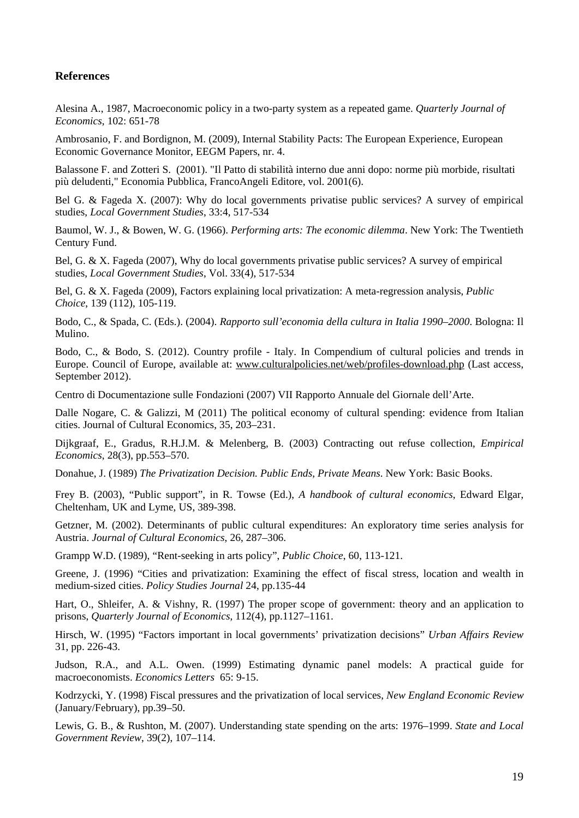#### **References**

Alesina A., 1987, Macroeconomic policy in a two-party system as a repeated game. *Quarterly Journal of Economics*, 102: 651-78

Ambrosanio, F. and Bordignon, M. (2009), Internal Stability Pacts: The European Experience, European Economic Governance Monitor, EEGM Papers, nr. 4.

Balassone F. and Zotteri S. (2001). "Il Patto di stabilità interno due anni dopo: norme più morbide, risultati più deludenti," Economia Pubblica, FrancoAngeli Editore, vol. 2001(6).

Bel G. & Fageda X. (2007): Why do local governments privatise public services? A survey of empirical studies, *Local Government Studies*, 33:4, 517-534

Baumol, W. J., & Bowen, W. G. (1966). *Performing arts: The economic dilemma*. New York: The Twentieth Century Fund.

Bel, G. & X. Fageda (2007), Why do local governments privatise public services? A survey of empirical studies, *Local Government Studies*, Vol. 33(4), 517-534

Bel, G. & X. Fageda (2009), Factors explaining local privatization: A meta-regression analysis, *Public Choice*, 139 (112), 105-119.

Bodo, C., & Spada, C. (Eds.). (2004). *Rapporto sull'economia della cultura in Italia 1990–2000*. Bologna: Il Mulino.

Bodo, C., & Bodo, S. (2012). Country profile - Italy. In Compendium of cultural policies and trends in Europe. Council of Europe, available at: www.culturalpolicies.net/web/profiles-download.php (Last access, September 2012).

Centro di Documentazione sulle Fondazioni (2007) VII Rapporto Annuale del Giornale dell'Arte.

Dalle Nogare, C. & Galizzi, M (2011) The political economy of cultural spending: evidence from Italian cities. Journal of Cultural Economics, 35, 203–231.

Dijkgraaf, E., Gradus, R.H.J.M. & Melenberg, B. (2003) Contracting out refuse collection, *Empirical Economics*, 28(3), pp.553–570.

Donahue, J. (1989) *The Privatization Decision. Public Ends, Private Means*. New York: Basic Books.

Frey B. (2003), "Public support", in R. Towse (Ed.), *A handbook of cultural economics*, Edward Elgar, Cheltenham, UK and Lyme, US, 389-398.

Getzner, M. (2002). Determinants of public cultural expenditures: An exploratory time series analysis for Austria. *Journal of Cultural Economics*, 26, 287–306.

Grampp W.D. (1989), "Rent-seeking in arts policy", *Public Choice*, 60, 113-121.

Greene, J. (1996) "Cities and privatization: Examining the effect of fiscal stress, location and wealth in medium-sized cities. *Policy Studies Journal* 24, pp.135-44

Hart, O., Shleifer, A. & Vishny, R. (1997) The proper scope of government: theory and an application to prisons, *Quarterly Journal of Economics*, 112(4), pp.1127–1161.

Hirsch, W. (1995) "Factors important in local governments' privatization decisions" *Urban Affairs Review* 31, pp. 226-43.

Judson, R.A., and A.L. Owen. (1999) Estimating dynamic panel models: A practical guide for macroeconomists. *Economics Letters* 65: 9-15.

Kodrzycki, Y. (1998) Fiscal pressures and the privatization of local services, *New England Economic Review* (January/February), pp.39–50.

Lewis, G. B., & Rushton, M. (2007). Understanding state spending on the arts: 1976–1999. *State and Local Government Review*, 39(2), 107–114.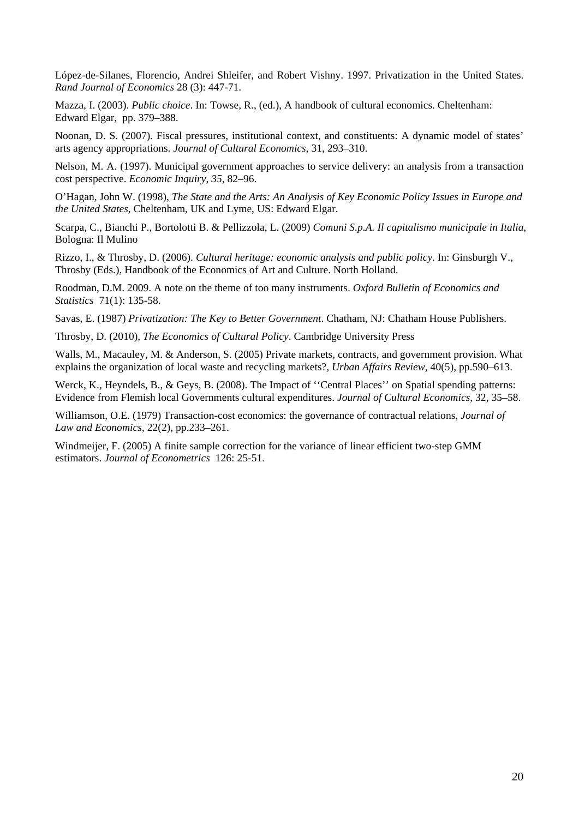López-de-Silanes, Florencio, Andrei Shleifer, and Robert Vishny. 1997. Privatization in the United States. *Rand Journal of Economics* 28 (3): 447-71.

Mazza, I. (2003). *Public choice*. In: Towse, R., (ed.), A handbook of cultural economics. Cheltenham: Edward Elgar, pp. 379–388.

Noonan, D. S. (2007). Fiscal pressures, institutional context, and constituents: A dynamic model of states' arts agency appropriations. *Journal of Cultural Economics*, 31, 293–310.

Nelson, M. A. (1997). Municipal government approaches to service delivery: an analysis from a transaction cost perspective. *Economic Inquiry*, *35*, 82–96.

O'Hagan, John W. (1998), *The State and the Arts: An Analysis of Key Economic Policy Issues in Europe and the United States*, Cheltenham, UK and Lyme, US: Edward Elgar.

Scarpa, C., Bianchi P., Bortolotti B. & Pellizzola, L. (2009) *Comuni S.p.A. Il capitalismo municipale in Italia*, Bologna: Il Mulino

Rizzo, I., & Throsby, D. (2006). *Cultural heritage: economic analysis and public policy*. In: Ginsburgh V., Throsby (Eds.), Handbook of the Economics of Art and Culture. North Holland.

Roodman, D.M. 2009. A note on the theme of too many instruments. *Oxford Bulletin of Economics and Statistics* 71(1): 135-58.

Savas, E. (1987) *Privatization: The Key to Better Government*. Chatham, NJ: Chatham House Publishers.

Throsby, D. (2010), *The Economics of Cultural Policy*. Cambridge University Press

Walls, M., Macauley, M. & Anderson, S. (2005) Private markets, contracts, and government provision. What explains the organization of local waste and recycling markets?, *Urban Affairs Review*, 40(5), pp.590–613.

Werck, K., Heyndels, B., & Geys, B. (2008). The Impact of "Central Places" on Spatial spending patterns: Evidence from Flemish local Governments cultural expenditures. *Journal of Cultural Economics*, 32, 35–58.

Williamson, O.E. (1979) Transaction-cost economics: the governance of contractual relations, *Journal of Law and Economics*, 22(2), pp.233–261.

Windmeijer, F. (2005) A finite sample correction for the variance of linear efficient two-step GMM estimators. *Journal of Econometrics* 126: 25-51.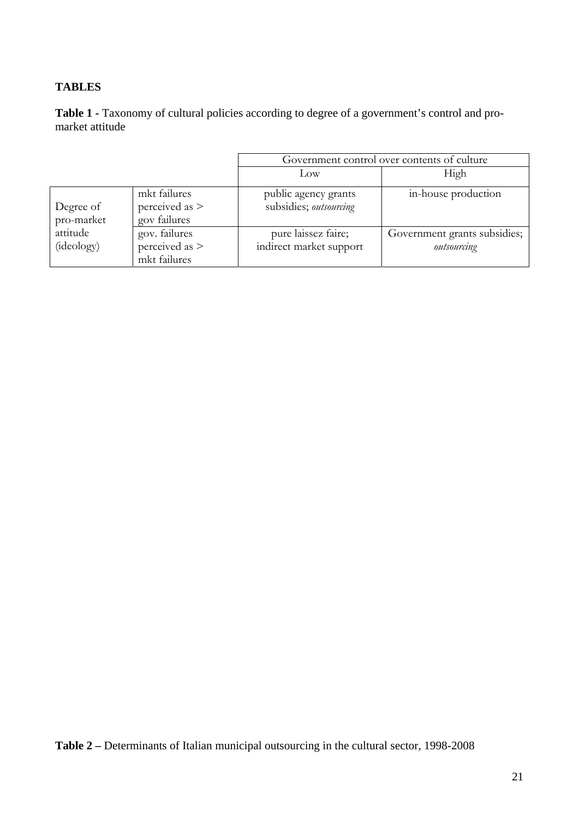# **TABLES**

Table 1 - Taxonomy of cultural policies according to degree of a government's control and promarket attitude

|                         |                                                   | Government control over contents of culture    |                                             |  |  |
|-------------------------|---------------------------------------------------|------------------------------------------------|---------------------------------------------|--|--|
|                         |                                                   | Low                                            | High                                        |  |  |
| Degree of<br>pro-market | mkt failures<br>perceived as $>$<br>gov failures  | public agency grants<br>subsidies; outsourcing | in-house production                         |  |  |
| attitude<br>(ideology)  | gov. failures<br>perceived as $>$<br>mkt failures | pure laissez faire;<br>indirect market support | Government grants subsidies;<br>outsourcing |  |  |

**Table 2 –** Determinants of Italian municipal outsourcing in the cultural sector, 1998-2008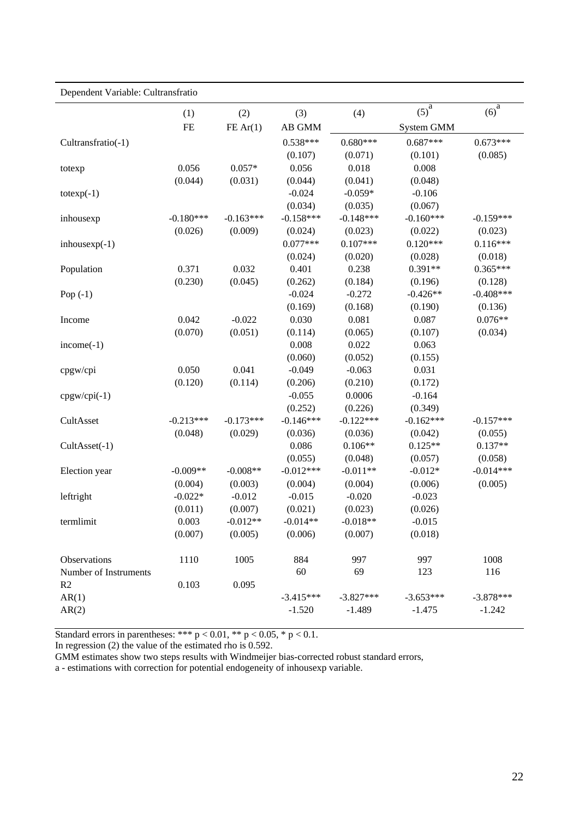| Dependent Variable: Cultransfratio |             |             |             |             |             |             |
|------------------------------------|-------------|-------------|-------------|-------------|-------------|-------------|
|                                    | (1)         | (2)         | (3)         | (4)         | $(5)^a$     | $(6)^a$     |
|                                    | $FE$        | FE Ar(1)    | AB GMM      |             | System GMM  |             |
| Cultransfratio(-1)                 |             |             | $0.538***$  | $0.680***$  | $0.687***$  | $0.673***$  |
|                                    |             |             | (0.107)     | (0.071)     | (0.101)     | (0.085)     |
| totexp                             | 0.056       | $0.057*$    | 0.056       | 0.018       | 0.008       |             |
|                                    | (0.044)     | (0.031)     | (0.044)     | (0.041)     | (0.048)     |             |
| $totexp(-1)$                       |             |             | $-0.024$    | $-0.059*$   | $-0.106$    |             |
|                                    |             |             | (0.034)     | (0.035)     | (0.067)     |             |
| inhousexp                          | $-0.180***$ | $-0.163***$ | $-0.158***$ | $-0.148***$ | $-0.160***$ | $-0.159***$ |
|                                    | (0.026)     | (0.009)     | (0.024)     | (0.023)     | (0.022)     | (0.023)     |
| $inhousexp(-1)$                    |             |             | $0.077***$  | $0.107***$  | $0.120***$  | $0.116***$  |
|                                    |             |             | (0.024)     | (0.020)     | (0.028)     | (0.018)     |
| Population                         | 0.371       | 0.032       | 0.401       | 0.238       | $0.391**$   | $0.365***$  |
|                                    | (0.230)     | (0.045)     | (0.262)     | (0.184)     | (0.196)     | (0.128)     |
| Pop $(-1)$                         |             |             | $-0.024$    | $-0.272$    | $-0.426**$  | $-0.408***$ |
|                                    |             |             | (0.169)     | (0.168)     | (0.190)     | (0.136)     |
| Income                             | 0.042       | $-0.022$    | 0.030       | 0.081       | 0.087       | $0.076**$   |
|                                    | (0.070)     | (0.051)     | (0.114)     | (0.065)     | (0.107)     | (0.034)     |
| $income(-1)$                       |             |             | 0.008       | 0.022       | 0.063       |             |
|                                    |             |             | (0.060)     | (0.052)     | (0.155)     |             |
| cpgw/cpi                           | 0.050       | 0.041       | $-0.049$    | $-0.063$    | 0.031       |             |
|                                    | (0.120)     | (0.114)     | (0.206)     | (0.210)     | (0.172)     |             |
| $cpgw/cpi(-1)$                     |             |             | $-0.055$    | 0.0006      | $-0.164$    |             |
|                                    |             |             | (0.252)     | (0.226)     | (0.349)     |             |
| CultAsset                          | $-0.213***$ | $-0.173***$ | $-0.146***$ | $-0.122***$ | $-0.162***$ | $-0.157***$ |
|                                    | (0.048)     | (0.029)     | (0.036)     | (0.036)     | (0.042)     | (0.055)     |
| CultAsset(-1)                      |             |             | 0.086       | $0.106**$   | $0.125**$   | $0.137**$   |
|                                    |             |             | (0.055)     | (0.048)     | (0.057)     | (0.058)     |
| Election year                      | $-0.009**$  | $-0.008**$  | $-0.012***$ | $-0.011**$  | $-0.012*$   | $-0.014***$ |
|                                    | (0.004)     | (0.003)     | (0.004)     | (0.004)     | (0.006)     | (0.005)     |
| leftright                          | $-0.022*$   | $-0.012$    | $-0.015$    | $-0.020$    | $-0.023$    |             |
|                                    | (0.011)     | (0.007)     | (0.021)     | (0.023)     | (0.026)     |             |
| termlimit                          | 0.003       | $-0.012**$  | $-0.014**$  | $-0.018**$  | $-0.015$    |             |
|                                    | (0.007)     | (0.005)     | (0.006)     | (0.007)     | (0.018)     |             |
| Observations                       | 1110        | 1005        | 884         | 997         | 997         | 1008        |
| Number of Instruments              |             |             | 60          | 69          | 123         | 116         |
| R2                                 | 0.103       | 0.095       |             |             |             |             |
| AR(1)                              |             |             | $-3.415***$ | $-3.827***$ | $-3.653***$ | $-3.878***$ |
| AR(2)                              |             |             | $-1.520$    | $-1.489$    | $-1.475$    | $-1.242$    |

Standard errors in parentheses: \*\*\*  $p < 0.01$ , \*\*  $p < 0.05$ , \*  $p < 0.1$ .

In regression (2) the value of the estimated rho is 0.592.

GMM estimates show two steps results with Windmeijer bias-corrected robust standard errors,

a - estimations with correction for potential endogeneity of inhousexp variable.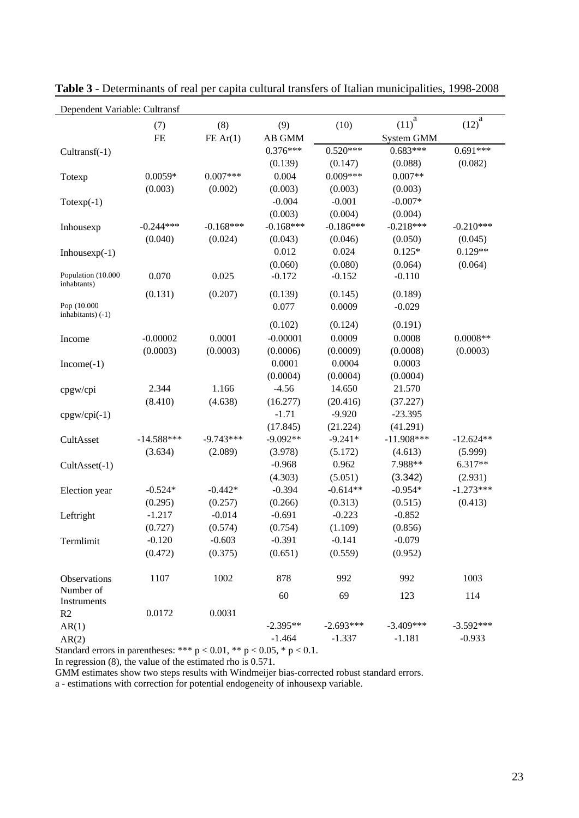| Dependent Variable: Cultransf      |              |             |             |             |                       |                       |  |
|------------------------------------|--------------|-------------|-------------|-------------|-----------------------|-----------------------|--|
|                                    | (7)          | (8)         | (9)         | (10)        | $(11)^{\overline{a}}$ | $(12)^{\overline{a}}$ |  |
|                                    | <b>FE</b>    | FE Ar(1)    | AB GMM      |             | System GMM            |                       |  |
| $Cultransf(-1)$                    |              |             | $0.376***$  | $0.520***$  | $0.683***$            | $0.691***$            |  |
|                                    |              |             | (0.139)     | (0.147)     | (0.088)               | (0.082)               |  |
| Totexp                             | $0.0059*$    | $0.007***$  | 0.004       | $0.009***$  | $0.007**$             |                       |  |
|                                    | (0.003)      | (0.002)     | (0.003)     | (0.003)     | (0.003)               |                       |  |
| $Totexp(-1)$                       |              |             | $-0.004$    | $-0.001$    | $-0.007*$             |                       |  |
|                                    |              |             | (0.003)     | (0.004)     | (0.004)               |                       |  |
| Inhousexp                          | $-0.244***$  | $-0.168***$ | $-0.168***$ | $-0.186***$ | $-0.218***$           | $-0.210***$           |  |
|                                    | (0.040)      | (0.024)     | (0.043)     | (0.046)     | (0.050)               | (0.045)               |  |
| Inhouse $xp(-1)$                   |              |             | 0.012       | 0.024       | $0.125*$              | $0.129**$             |  |
|                                    |              |             | (0.060)     | (0.080)     | (0.064)               | (0.064)               |  |
| Population (10.000<br>inhabtants)  | 0.070        | 0.025       | $-0.172$    | $-0.152$    | $-0.110$              |                       |  |
|                                    | (0.131)      | (0.207)     | (0.139)     | (0.145)     | (0.189)               |                       |  |
| Pop (10.000<br>inhabitants) $(-1)$ |              |             | 0.077       | 0.0009      | $-0.029$              |                       |  |
|                                    |              |             | (0.102)     | (0.124)     | (0.191)               |                       |  |
| Income                             | $-0.00002$   | 0.0001      | $-0.00001$  | 0.0009      | 0.0008                | $0.0008**$            |  |
|                                    | (0.0003)     | (0.0003)    | (0.0006)    | (0.0009)    | (0.0008)              | (0.0003)              |  |
| $Income(-1)$                       |              |             | 0.0001      | 0.0004      | 0.0003                |                       |  |
|                                    |              |             | (0.0004)    | (0.0004)    | (0.0004)              |                       |  |
| cpgw/cpi                           | 2.344        | 1.166       | $-4.56$     | 14.650      | 21.570                |                       |  |
|                                    | (8.410)      | (4.638)     | (16.277)    | (20.416)    | (37.227)              |                       |  |
| $cpgw/cpi(-1)$                     |              |             | $-1.71$     | $-9.920$    | $-23.395$             |                       |  |
|                                    |              |             | (17.845)    | (21.224)    | (41.291)              |                       |  |
| CultAsset                          | $-14.588***$ | $-9.743***$ | $-9.092**$  | $-9.241*$   | $-11.908***$          | $-12.624**$           |  |
|                                    | (3.634)      | (2.089)     | (3.978)     | (5.172)     | (4.613)               | (5.999)               |  |
| CultAsset(-1)                      |              |             | $-0.968$    | 0.962       | 7.988**               | 6.317**               |  |
|                                    |              |             | (4.303)     | (5.051)     | (3.342)               | (2.931)               |  |
| Election year                      | $-0.524*$    | $-0.442*$   | $-0.394$    | $-0.614**$  | $-0.954*$             | $-1.273***$           |  |
|                                    | (0.295)      | (0.257)     | (0.266)     | (0.313)     | (0.515)               | (0.413)               |  |
| Leftright                          | $-1.217$     | $-0.014$    | $-0.691$    | $-0.223$    | $-0.852$              |                       |  |
|                                    | (0.727)      | (0.574)     | (0.754)     | (1.109)     | (0.856)               |                       |  |
| Termlimit                          | $-0.120$     | $-0.603$    | $-0.391$    | $-0.141$    | $-0.079$              |                       |  |
|                                    | (0.472)      | (0.375)     | (0.651)     | (0.559)     | (0.952)               |                       |  |
| Observations                       | 1107         | 1002        | 878         | 992         | 992                   | 1003                  |  |
| Number of<br>Instruments           |              |             | 60          | 69          | 123                   | 114                   |  |
| R <sub>2</sub>                     | 0.0172       | 0.0031      |             |             |                       |                       |  |
| AR(1)                              |              |             | $-2.395**$  | $-2.693***$ | $-3.409***$           | $-3.592***$           |  |
| AR(2)                              |              |             | $-1.464$    | $-1.337$    | $-1.181$              | $-0.933$              |  |

**Table 3** - Determinants of real per capita cultural transfers of Italian municipalities, 1998-2008

Standard errors in parentheses: \*\*\*  $p < 0.01$ , \*\*  $p < 0.05$ , \*  $p < 0.1$ .

In regression (8), the value of the estimated rho is 0.571.

GMM estimates show two steps results with Windmeijer bias-corrected robust standard errors.

a - estimations with correction for potential endogeneity of inhousexp variable.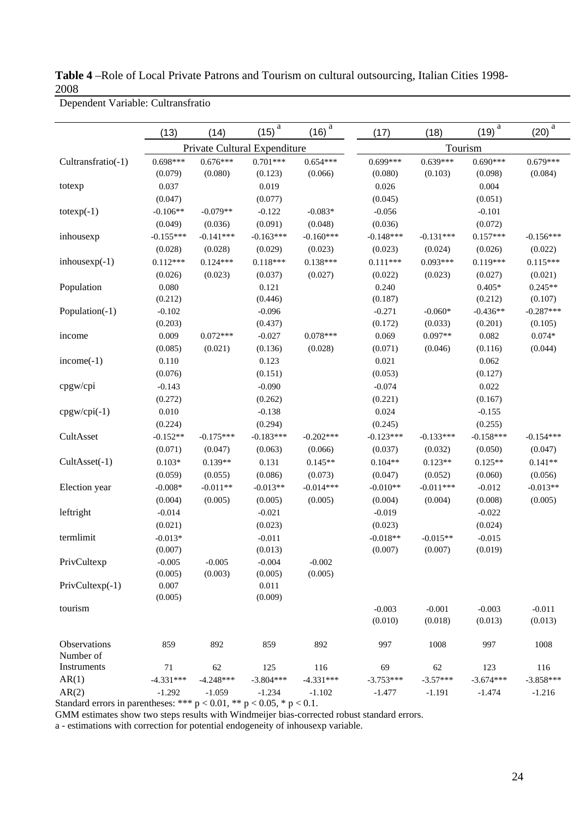**Table 4** –Role of Local Private Patrons and Tourism on cultural outsourcing, Italian Cities 1998- 2008

|  |  | Dependent Variable: Cultransfratio |
|--|--|------------------------------------|
|--|--|------------------------------------|

|                    | (13)                         | (14)        | $\it a$<br>(15) | $\it a$<br>(16) | (17)        | (18)        | $\mathbf a$<br>(19) | $\mathbf{a}$<br>(20) |
|--------------------|------------------------------|-------------|-----------------|-----------------|-------------|-------------|---------------------|----------------------|
|                    | Private Cultural Expenditure |             |                 | Tourism         |             |             |                     |                      |
| Cultransfratio(-1) | $0.698***$                   | $0.676***$  | $0.701***$      | $0.654***$      | $0.699***$  | $0.639***$  | $0.690***$          | $0.679***$           |
|                    | (0.079)                      | (0.080)     | (0.123)         | (0.066)         | (0.080)     | (0.103)     | (0.098)             | (0.084)              |
| totexp             | 0.037                        |             | 0.019           |                 | 0.026       |             | 0.004               |                      |
|                    | (0.047)                      |             | (0.077)         |                 | (0.045)     |             | (0.051)             |                      |
| $totexp(-1)$       | $-0.106**$                   | $-0.079**$  | $-0.122$        | $-0.083*$       | $-0.056$    |             | $-0.101$            |                      |
|                    | (0.049)                      | (0.036)     | (0.091)         | (0.048)         | (0.036)     |             | (0.072)             |                      |
| inhousexp          | $-0.155***$                  | $-0.141***$ | $-0.163***$     | $-0.160***$     | $-0.148***$ | $-0.131***$ | $0.157***$          | $-0.156***$          |
|                    | (0.028)                      | (0.028)     | (0.029)         | (0.023)         | (0.023)     | (0.024)     | (0.026)             | (0.022)              |
| $inhousexp(-1)$    | $0.112***$                   | $0.124***$  | $0.118***$      | $0.138***$      | $0.111***$  | $0.093***$  | $0.119***$          | $0.115***$           |
|                    | (0.026)                      | (0.023)     | (0.037)         | (0.027)         | (0.022)     | (0.023)     | (0.027)             | (0.021)              |
| Population         | 0.080                        |             | 0.121           |                 | 0.240       |             | $0.405*$            | $0.245**$            |
|                    | (0.212)                      |             | (0.446)         |                 | (0.187)     |             | (0.212)             | (0.107)              |
| Population(-1)     | $-0.102$                     |             | $-0.096$        |                 | $-0.271$    | $-0.060*$   | $-0.436**$          | $-0.287***$          |
|                    | (0.203)                      |             | (0.437)         |                 | (0.172)     | (0.033)     | (0.201)             | (0.105)              |
| income             | 0.009                        | $0.072***$  | $-0.027$        | $0.078***$      | 0.069       | $0.097**$   | 0.082               | $0.074*$             |
|                    | (0.085)                      | (0.021)     | (0.136)         | (0.028)         | (0.071)     | (0.046)     | (0.116)             | (0.044)              |
| $income(-1)$       | 0.110                        |             | 0.123           |                 | 0.021       |             | 0.062               |                      |
|                    | (0.076)                      |             | (0.151)         |                 | (0.053)     |             | (0.127)             |                      |
| cpgw/cpi           | $-0.143$                     |             | $-0.090$        |                 | $-0.074$    |             | 0.022               |                      |
|                    | (0.272)                      |             | (0.262)         |                 | (0.221)     |             | (0.167)             |                      |
| $cpgw/cpi(-1)$     | 0.010                        |             | $-0.138$        |                 | 0.024       |             | $-0.155$            |                      |
|                    | (0.224)                      |             | (0.294)         |                 | (0.245)     |             | (0.255)             |                      |
| CultAsset          | $-0.152**$                   | $-0.175***$ | $-0.183***$     | $-0.202***$     | $-0.123***$ | $-0.133***$ | $-0.158***$         | $-0.154***$          |
|                    | (0.071)                      | (0.047)     | (0.063)         | (0.066)         | (0.037)     | (0.032)     | (0.050)             | (0.047)              |
| $Cult Asset(-1)$   | $0.103*$                     | $0.139**$   | 0.131           | $0.145**$       | $0.104**$   | $0.123**$   | $0.125**$           | $0.141**$            |
|                    | (0.059)                      | (0.055)     | (0.086)         | (0.073)         | (0.047)     | (0.052)     | (0.060)             | (0.056)              |
| Election year      | $-0.008*$                    | $-0.011**$  | $-0.013**$      | $-0.014***$     | $-0.010**$  | $-0.011***$ | $-0.012$            | $-0.013**$           |
|                    | (0.004)                      | (0.005)     | (0.005)         | (0.005)         | (0.004)     | (0.004)     | (0.008)             | (0.005)              |
| leftright          | $-0.014$                     |             | $-0.021$        |                 | $-0.019$    |             | $-0.022$            |                      |
|                    | (0.021)                      |             | (0.023)         |                 | (0.023)     |             | (0.024)             |                      |
| termlimit          | $-0.013*$                    |             | $-0.011$        |                 | $-0.018**$  | $-0.015**$  | $-0.015$            |                      |
|                    | (0.007)                      |             | (0.013)         |                 | (0.007)     | (0.007)     | (0.019)             |                      |
| PrivCultexp        | $-0.005$                     | $-0.005$    | $-0.004$        | $-0.002$        |             |             |                     |                      |
|                    | (0.005)                      | (0.003)     | (0.005)         | (0.005)         |             |             |                     |                      |
| $PrivCultexp(-1)$  | 0.007                        |             | 0.011           |                 |             |             |                     |                      |
|                    | (0.005)                      |             | (0.009)         |                 |             |             |                     |                      |
| tourism            |                              |             |                 |                 | $-0.003$    | $-0.001$    | $-0.003$            | $-0.011$             |
|                    |                              |             |                 |                 | (0.010)     | (0.018)     | (0.013)             | (0.013)              |
| Observations       | 859                          | 892         | 859             | 892             | 997         | 1008        | 997                 | 1008                 |
| Number of          |                              |             |                 |                 |             |             |                     |                      |
| Instruments        | 71                           | 62          | 125             | 116             | 69          | 62          | 123                 | 116                  |
| AR(1)              | $-4.331***$                  | $-4.248***$ | $-3.804***$     | $-4.331***$     | $-3.753***$ | $-3.57***$  | $-3.674***$         | $-3.858***$          |
| AR(2)              | $-1.292$                     | $-1.059$    | $-1.234$        | $-1.102$        | $-1.477$    | $-1.191$    | $-1.474$            | $-1.216$             |

Standard errors in parentheses: \*\*\*  $p < 0.01$ , \*\*  $p < 0.05$ , \*  $p < 0.1$ .

GMM estimates show two steps results with Windmeijer bias-corrected robust standard errors.

a - estimations with correction for potential endogeneity of inhousexp variable.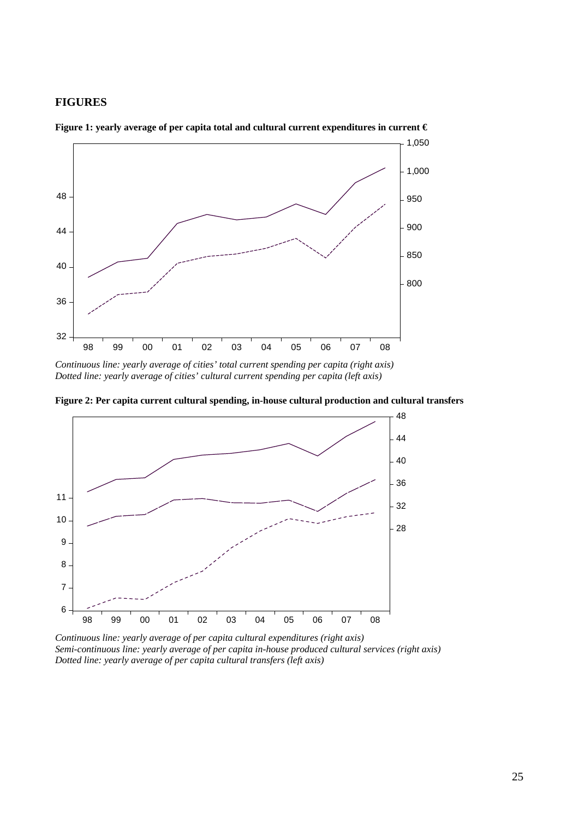#### **FIGURES**



**Figure 1: yearly average of per capita total and cultural current expenditures in current €** 

**Figure 2: Per capita current cultural spending, in-house cultural production and cultural transfers** 



*Continuous line: yearly average of per capita cultural expenditures (right axis) Semi-continuous line: yearly average of per capita in-house produced cultural services (right axis) Dotted line: yearly average of per capita cultural transfers (left axis)* 

*Continuous line: yearly average of cities' total current spending per capita (right axis) Dotted line: yearly average of cities' cultural current spending per capita (left axis)*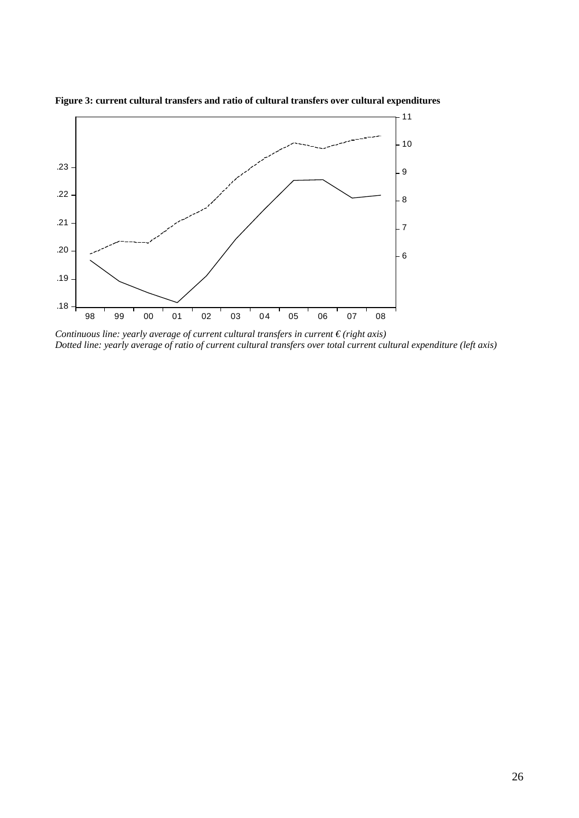

**Figure 3: current cultural transfers and ratio of cultural transfers over cultural expenditures**

*Continuous line: yearly average of current cultural transfers in current € (right axis) Dotted line: yearly average of ratio of current cultural transfers over total current cultural expenditure (left axis)*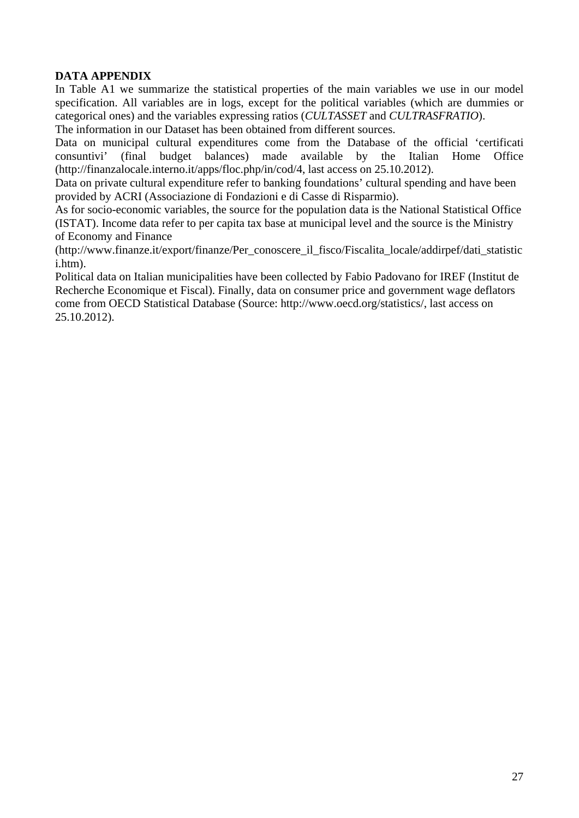## **DATA APPENDIX**

In Table A1 we summarize the statistical properties of the main variables we use in our model specification. All variables are in logs, except for the political variables (which are dummies or categorical ones) and the variables expressing ratios (*CULTASSET* and *CULTRASFRATIO*). The information in our Dataset has been obtained from different sources.

Data on municipal cultural expenditures come from the Database of the official 'certificati consuntivi' (final budget balances) made available by the Italian Home Office (http://finanzalocale.interno.it/apps/floc.php/in/cod/4, last access on 25.10.2012).

Data on private cultural expenditure refer to banking foundations' cultural spending and have been provided by ACRI (Associazione di Fondazioni e di Casse di Risparmio).

As for socio-economic variables, the source for the population data is the National Statistical Office (ISTAT). Income data refer to per capita tax base at municipal level and the source is the Ministry of Economy and Finance

(http://www.finanze.it/export/finanze/Per\_conoscere\_il\_fisco/Fiscalita\_locale/addirpef/dati\_statistic i.htm).

Political data on Italian municipalities have been collected by Fabio Padovano for IREF (Institut de Recherche Economique et Fiscal). Finally, data on consumer price and government wage deflators come from OECD Statistical Database (Source: http://www.oecd.org/statistics/, last access on 25.10.2012).